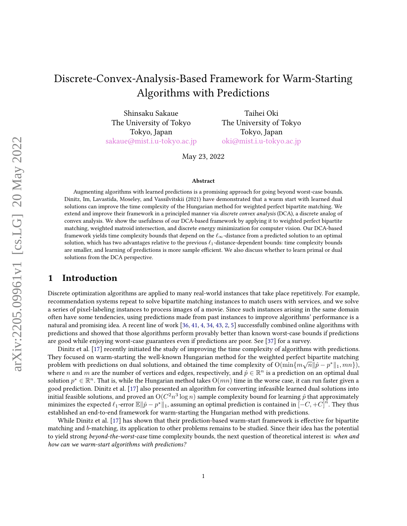# Discrete-Convex-Analysis-Based Framework for Warm-Starting Algorithms with Predictions

Shinsaku Sakaue The University of Tokyo Tokyo, Japan [sakaue@mist.i.u-tokyo.ac.jp](mailto:sakaue@mist.i.u-tokyo.ac.jp)

Taihei Oki The University of Tokyo Tokyo, Japan [oki@mist.i.u-tokyo.ac.jp](mailto:oki@mist.i.u-tokyo.ac.jp)

May 23, 2022

#### Abstract

Augmenting algorithms with learned predictions is a promising approach for going beyond worst-case bounds. Dinitz, Im, Lavastida, Moseley, and Vassilvitskii (2021) have demonstrated that a warm start with learned dual solutions can improve the time complexity of the Hungarian method for weighted perfect bipartite matching. We extend and improve their framework in a principled manner via discrete convex analysis (DCA), a discrete analog of convex analysis. We show the usefulness of our DCA-based framework by applying it to weighted perfect bipartite matching, weighted matroid intersection, and discrete energy minimization for computer vision. Our DCA-based framework yields time complexity bounds that depend on the  $\ell_{\infty}$ -distance from a predicted solution to an optimal solution, which has two advantages relative to the previous  $\ell_1$ -distance-dependent bounds: time complexity bounds are smaller, and learning of predictions is more sample efficient. We also discuss whether to learn primal or dual solutions from the DCA perspective.

### 1 Introduction

Discrete optimization algorithms are applied to many real-world instances that take place repetitively. For example, recommendation systems repeat to solve bipartite matching instances to match users with services, and we solve a series of pixel-labeling instances to process images of a movie. Since such instances arising in the same domain often have some tendencies, using predictions made from past instances to improve algorithms' performance is a natural and promising idea. A recent line of work [\[36,](#page-11-0) [41,](#page-12-0) [4,](#page-10-0) [34,](#page-11-1) [43,](#page-12-1) [2,](#page-10-1) [5\]](#page-10-2) successfully combined online algorithms with predictions and showed that those algorithms perform provably better than known worst-case bounds if predictions are good while enjoying worst-case guarantees even if predictions are poor. See [\[37\]](#page-11-2) for a survey.

Dinitz et al. [\[17\]](#page-10-3) recently initiated the study of improving the time complexity of algorithms with predictions. They focused on warm-starting the well-known Hungarian method for the weighted perfect bipartite matching problem with predictions on dual solutions, and obtained the time complexity of  $\mathrm{O}(\min\{m\sqrt{n}\|\hat{p}-p^*\|_1,mn\}),$ where  $n$  and  $m$  are the number of vertices and edges, respectively, and  $\hat{p} \in \mathbb{R}^n$  is a prediction on an optimal dual solution  $p^*\in\mathbb{R}^n$ . That is, while the Hungarian method takes  $O(mn)$  time in the worse case, it can run faster given a good prediction. Dinitz et al. [\[17\]](#page-10-3) also presented an algorithm for converting infeasible learned dual solutions into initial feasible solutions, and proved an  $\mathrm{O}(C^2n^3\log n)$  sample complexity bound for learning  $\hat{p}$  that approximately minimizes the expected  $\ell_1$ -error  $\mathbb{E} \|\hat{p} - p^*\|_1$ , assuming an optimal prediction is contained in  $[-C, +C]^n$ . They thus established an end-to-end framework for warm-starting the Hungarian method with predictions.

While Dinitz et al. [\[17\]](#page-10-3) has shown that their prediction-based warm-start framework is effective for bipartite matching and b-matching, its application to other problems remains to be studied. Since their idea has the potential to yield strong beyond-the-worst-case time complexity bounds, the next question of theoretical interest is: when and how can we warm-start algorithms with predictions?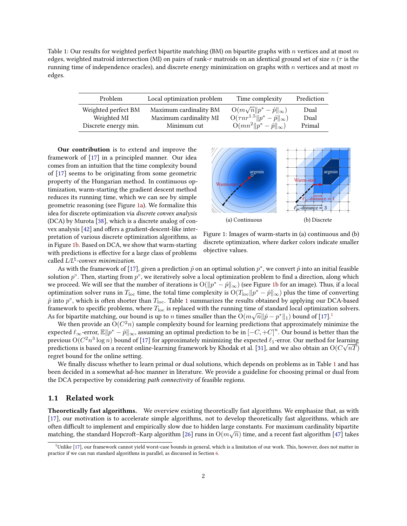<span id="page-1-1"></span>Table 1: Our results for weighted perfect bipartite matching (BM) on bipartite graphs with n vertices and at most m edges, weighted matroid intersection (MI) on pairs of rank-r matroids on an identical ground set of size  $n(\tau)$  is the running time of independence oracles), and discrete energy minimization on graphs with n vertices and at most  $m$ edges.

| Problem                            | Local optimization problem                       | Time complexity                                                                            | Prediction   |
|------------------------------------|--------------------------------------------------|--------------------------------------------------------------------------------------------|--------------|
| Weighted perfect BM<br>Weighted MI | Maximum cardinality BM<br>Maximum cardinality MI | $O(m\sqrt{n}  p^* - \hat{p}  _{\infty})$<br>$O(\tau n r^{1.5} \ p^* - \hat{p}\ _{\infty})$ | Dual<br>Dual |
| Discrete energy min.               | Minimum cut                                      | $O(mn^2 \ p^* - \hat{p}\ _{\infty})$                                                       | Primal       |

Our contribution is to extend and improve the framework of [\[17\]](#page-10-3) in a principled manner. Our idea comes from an intuition that the time complexity bound of [\[17\]](#page-10-3) seems to be originating from some geometric property of the Hungarian method. In continuous optimization, warm-starting the gradient descent method reduces its running time, which we can see by simple geometric reasoning (see Figure [1a\)](#page-1-0). We formalize this idea for discrete optimization via discrete convex analysis (DCA) by Murota [\[38\]](#page-11-3), which is a discrete analog of con-vex analysis [\[42\]](#page-12-2) and offers a gradient-descent-like interpretation of various discrete optimization algorithms, as in Figure [1b.](#page-1-0) Based on DCA, we show that warm-starting with predictions is effective for a large class of problems called  $L/L^\natural$ -convex minimization.

<span id="page-1-0"></span>

Figure 1: Images of warm-starts in (a) continuous and (b) discrete optimization, where darker colors indicate smaller objective values.

As with the framework of [\[17\]](#page-10-3), given a prediction  $\hat{p}$  on an optimal solution  $p^*$ , we convert  $\hat{p}$  into an initial feasible solution  $p^\circ$ . Then, starting from  $p^\circ$ , we iteratively solve a local optimization problem to find a direction, along which we proceed. We will see that the number of iterations is  $\mathrm{O}(\|p^* - \hat{p}\|_\infty)$  (see Figure [1b](#page-1-0) for an image). Thus, if a local optimization solver runs in  $T_{\rm loc}$  time, the total time complexity is  ${\rm O}(T_{\rm loc} \| p^* - \hat p \|_\infty)$  plus the time of converting  $\hat{p}$  into  $p^\circ$ , which is often shorter than  $T_{\rm loc}$ . Table [1](#page-1-1) summarizes the results obtained by applying our DCA-based framework to specific problems, where  $T_{\text{loc}}$  is replaced with the running time of standard local optimization solvers. As for bipartite matching, our bound is up to  $n$  times smaller than the  $\mathrm{O}(m\sqrt{n}\|\hat{p}-p^*\|_1)$  $\mathrm{O}(m\sqrt{n}\|\hat{p}-p^*\|_1)$  $\mathrm{O}(m\sqrt{n}\|\hat{p}-p^*\|_1)$  bound of  $[17].^1$  $[17].^1$ 

We then provide an  $\mathrm{O}(C^2n)$  sample complexity bound for learning predictions that approximately minimize the expected  $\ell_{\infty}$ -error,  $\mathbb{E} \|p^* - \hat{p}\|_{\infty}$ , assuming an optimal prediction to be in  $[-C, +C]^n$ . Our bound is better than the previous  $O(C^2n^3\log n)$  bound of [\[17\]](#page-10-3) for approximately minimizing the expected  $\ell_1$ -error. Our method for learning predictions is based on a recent online-learning framework by Khodak et al. [\[31\]](#page-11-4), and we also obtain an  $\mathrm{O}(C\sqrt{nT})$ regret bound for the online setting.

We finally discuss whether to learn primal or dual solutions, which depends on problems as in Table [1](#page-1-1) and has been decided in a somewhat ad-hoc manner in literature. We provide a guideline for choosing primal or dual from the DCA perspective by considering path connectivity of feasible regions.

#### 1.1 Related work

Theoretically fast algorithms. We overview existing theoretically fast algorithms. We emphasize that, as with [\[17\]](#page-10-3), our motivation is to accelerate simple algorithms, not to develop theoretically fast algorithms, which are often dicult to implement and empirically slow due to hidden large constants. For maximum cardinality bipartite √ matching, the standard Hopcroft–Karp algorithm [\[26\]](#page-11-5) runs in  $O(m\sqrt{n})$  time, and a recent fast algorithm [\[47\]](#page-12-3) takes

<span id="page-1-2"></span><sup>1</sup>Unlike [\[17\]](#page-10-3), our framework cannot yield worst-case bounds in general, which is a limitation of our work. This, however, does not matter in practice if we can run standard algorithms in parallel, as discussed in Section [6.](#page-9-0)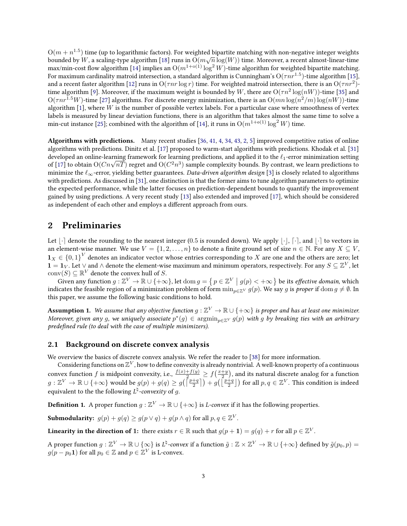$\mathrm{O}(m + n^{1.5})$  time (up to logarithmic factors). For weighted bipartite matching with non-negative integer weights  $\Theta(m+n)$  time (up to logarithmic factors). For weighted bipartite matching with non-negative integer weights bounded by W, a scaling-type algorithm [\[18\]](#page-10-4) runs in  $\Theta(m\sqrt{n}\log(W))$  time. Moreover, a recent almost-linear-time max/min-cost flow algorithm [\[14\]](#page-10-5) implies an  $O(m^{1+o(1)} \log^2 W)$ -time algorithm for weighted bipartite matching. For maximum cardinality matroid intersection, a standard algorithm is Cunningham's  $O(\tau nr^{1.5})$ -time algorithm [\[15\]](#page-10-6), and a recent faster algorithm [\[12\]](#page-10-7) runs in  $O(\tau nr\log r)$  time. For weighted matroid intersection, there is an  $O(\tau nr^2)$ -time algorithm [\[9\]](#page-10-8). Moreover, if the maximum weight is bounded by  $W$ , there are  $\mathrm{O}(\tau n^2 \log(nW))$ -time [\[35\]](#page-11-6) and  $\mathrm{O}(\tau nr^{1.5}W)$ -time [\[27\]](#page-11-7) algorithms. For discrete energy minimization, there is an  $\mathrm{O}(mn\log(n^2/m)\log(nW))$ -time algorithm  $[1]$ , where W is the number of possible vertex labels. For a particular case where smoothness of vertex labels is measured by linear deviation functions, there is an algorithm that takes almost the same time to solve a min-cut instance [\[25\]](#page-11-8); combined with the algorithm of [\[14\]](#page-10-5), it runs in  $O(m^{1+o(1)} \log^2 W)$  time.

Algorithms with predictions. Many recent studies [\[36,](#page-11-0) [41,](#page-12-0) [4,](#page-10-0) [34,](#page-11-1) [43,](#page-12-1) [2,](#page-10-1) [5\]](#page-10-2) improved competitive ratios of online algorithms with predictions. Dinitz et al. [\[17\]](#page-10-3) proposed to warm-start algorithms with predictions. Khodak et al. [\[31\]](#page-11-4) developed an online-learning framework for learning predictions, and applied it to the  $\ell_1$ -error minimization setting developed an online-learning tramework for learning predictions, and applied it to the  $\ell_1$ -error minimization setting<br>of [\[17\]](#page-10-3) to obtain O(Cn $\sqrt{n}T$ ) regret and O(C<sup>2</sup>n<sup>3</sup>) sample complexity bounds. By contrast, we lear minimize the  $\ell_{\infty}$ -error, yielding better guarantees. Data-driven algorithm design [\[3\]](#page-10-9) is closely related to algorithms with predictions. As discussed in [\[31\]](#page-11-4), one distinction is that the former aims to tune algorithm parameters to optimize the expected performance, while the latter focuses on prediction-dependent bounds to quantify the improvement gained by using predictions. A very recent study [\[13\]](#page-10-10) also extended and improved [\[17\]](#page-10-3), which should be considered as independent of each other and employs a different approach from ours.

#### 2 Preliminaries

Let  $|\cdot|$  denote the rounding to the nearest integer (0.5 is rounded down). We apply  $|\cdot|$ ,  $[\cdot]$ , and  $|\cdot|$  to vectors in an element-wise manner. We use  $V = \{1, 2, ..., n\}$  to denote a finite ground set of size  $n \in \mathbb{N}$ . For any  $X \subseteq V$ ,  $\mathbf{1}_X\in\{0,1\}^V$  denotes an indicator vector whose entries corresponding to  $X$  are one and the others are zero; let  $1 = 1_V$ . Let ∨ and ∧ denote the element-wise maximum and minimum operators, respectively. For any  $S \subseteq \mathbb{Z}^V$ , let  $\mathrm{conv}(S) \subseteq \mathbb{R}^V$  denote the convex hull of S.

Given any function  $g: \mathbb{Z}^V \to \mathbb{R} \cup \{+\infty\}$ , let  $\text{dom } g = \{p \in \mathbb{Z}^V \mid g(p) < +\infty\}$  be its effective domain, which indicates the feasible region of a minimization problem of form  $\min_{p\in\mathbb{Z}^V} g(p)$ . We say g is proper if  $\text{dom } g \neq \emptyset$ . In this paper, we assume the following basic conditions to hold.

<span id="page-2-0"></span>**Assumption 1.** We assume that any objective function  $g:\mathbb{Z}^V\to\mathbb{R}\cup\{+\infty\}$  is proper and has at least one minimizer. Moreover, given any  $g$ , we uniquely associate  $p^*(g)\in \operatorname{argmin}_{p\in \mathbb{Z}^V} g(p)$  with  $g$  by breaking ties with an arbitrary predefined rule (to deal with the case of multiple minimizers).

#### 2.1 Background on discrete convex analysis

We overview the basics of discrete convex analysis. We refer the reader to [\[38\]](#page-11-3) for more information.

Considering functions on  $\mathbb{Z}^V$ , how to define convexity is already nontrivial. A well-known property of a continuous convex function  $f$  is midpoint convexity, i.e.,  $\frac{f(x)+f(y)}{2}\geq f\big(\frac{x+y}{2}\big)$ , and its natural discrete analog for a function  $g:\mathbb{Z}^V\to\mathbb{R}\cup\{+\infty\}$  would be  $g(p)+g(q)\geq g\big(\big\lceil\frac{p+q}{2}\big\rceil\big)+g\big(\big\lfloor\frac{p+q}{2}\big\rfloor\big)$  for all  $p,q\in\mathbb{Z}^V.$  This condition is indeed equivalent to the the following  $L^\natural$ *-convexity* of  $g.$ 

**Definition 1.** A proper function  $g:\mathbb{Z}^V\to\mathbb{R}\cup\{+\infty\}$  is *L-convex* if it has the following properties.

Submodularity:  $g(p) + g(q) \ge g(p \vee q) + g(p \wedge q)$  for all  $p, q \in \mathbb{Z}^V$ .

Linearity in the direction of 1: there exists  $r \in \mathbb{R}$  such that  $g(p+1) = g(q) + r$  for all  $p \in \mathbb{Z}^V$ .

A proper function  $g:\Z^V\to\R\cup\{\infty\}$  is  $L^\natural$ -convex if a function  $\tilde g:\Z\times \Z^V\to\R\cup\{+\infty\}$  defined by  $\tilde g(p_0,p)=0$  $g(p - p_0 \textbf{1})$  for all  $p_0 \in \mathbb{Z}$  and  $p \in \mathbb{Z}^V$  is L-convex.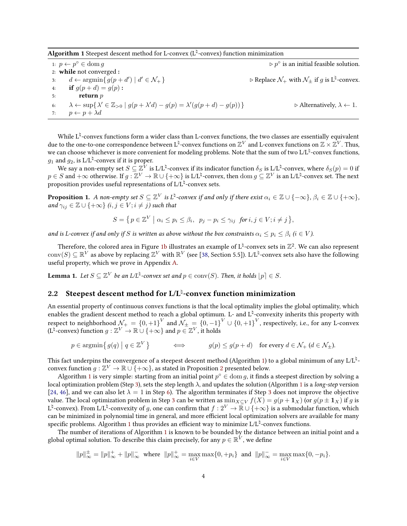<span id="page-3-0"></span>Algorithm 1 Steepest descent method for L-convex (L $^\natural$ -convex) function minimization

<span id="page-3-3"></span><span id="page-3-1"></span>1:  $p \leftarrow p^{\circ} \in \text{dom } g$   $\triangleright p^{\circ}$  $\triangleright$   $n^{\circ}$  is an initial feasible solution. 2: while not converged : 3:  $d \leftarrow \operatorname{argmin} \{ g(p + d') \mid d$  $0' \in \mathcal{N}_+$ } .  $\triangleright$  Replace  $\mathcal{N}_+$  with  $\mathcal{N}_\pm$  if  $g$  is  $L^\natural$ -convex. 4: **if**  $g(p+d) = q(p)$ : 5: return p 6:  $\lambda \leftarrow \sup \{ \lambda' \in \mathbb{Z}_{>0} \mid g(p + \lambda' d) - g(p) = \lambda'$  $\triangleright$  Alternatively,  $\lambda \leftarrow 1$ . 7:  $p \leftarrow p + \lambda d$ 

<span id="page-3-2"></span>While  $L^\natural$ -convex functions form a wider class than L-convex functions, the two classes are essentially equivalent due to the one-to-one correspondence between  $L^\natural$ -convex functions on  $\Z^V$  and L-convex functions on  $\Z\times \Z^V$ . Thus, we can choose whichever is more convenient for modeling problems. Note that the sum of two L/L $^\natural$ -convex functions,  $g_1$  and  $g_2$ , is L/L $^\natural$ -convex if it is proper.

We say a non-empty set  $S\subseteq\mathbb{Z}^{\bar{V}}$  is L/L $^\natural$ -convex if its indicator function  $\delta_S$  is L/L $^\natural$ -convex, where  $\delta_S(p)=0$  if  $p \in S$  and  $+\infty$  otherwise. If  $g: \mathbb{Z}^V \to \mathbb{R} \cup \{+\infty\}$  is L/L<sup> $\natural$ </sup>-convex, then  $\text{dom } g \subseteq \mathbb{Z}^V$  is an L/L $\natural$ -convex set. The next proposition provides useful representations of  $\mathrm{L}/\mathrm{L}^\natural$ -convex sets.

<span id="page-3-5"></span>**Proposition 1.** A non-empty set  $S\subseteq\mathbb{Z}^V$  is  $L^\natural$ -convex if and only if there exist  $\alpha_i\in\mathbb{Z}\cup\{-\infty\}$ ,  $\beta_i\in\mathbb{Z}\cup\{+\infty\}$ , and  $\gamma_{ij} \in \mathbb{Z} \cup \{+\infty\}$   $(i, j \in V; i \neq j)$  such that

$$
S = \left\{ p \in \mathbb{Z}^V \mid \alpha_i \le p_i \le \beta_i, \ p_j - p_i \le \gamma_{ij} \ \text{for } i, j \in V; i \neq j \right\},\
$$

and is L-convex if and only if S is written as above without the box constraints  $\alpha_i \leq p_i \leq \beta_i$   $(i \in V)$ .

Therefore, the colored area in Figure [1b](#page-1-0) illustrates an example of  $L^\natural$ -convex sets in  $\mathbb{Z}^2.$  We can also represent  $\mathrm{conv}(S)\subseteq\mathbb{R}^V$  as above by replacing  $\mathbb{Z}^V$  with  $\mathbb{R}^V$  (see [\[38,](#page-11-3) Section 5.5]). L/Lʰ-convex sets also have the following useful property, which we prove in Appendix [A.](#page-13-0)

<span id="page-3-4"></span>**Lemma 1.** Let  $S \subseteq \mathbb{Z}^V$  be an L/L<sup> $\natural$ </sup>-convex set and  $p \in \text{conv}(S)$ . Then, it holds  $\lfloor p \rfloor \in S$ .

### <span id="page-3-6"></span>2.2 Steepest descent method for L/L<sup>1</sup>-convex function minimization

An essential property of continuous convex functions is that the local optimality implies the global optimality, which enables the gradient descent method to reach a global optimum. L- and  $L^\natural$ -convexity inherits this property with respect to neighborhood  $\mathcal{N}_+=\{0,+1\}^V$  and  $\mathcal{N}_\pm=\{0,-1\}^V\cup\{0,+1\}^V$ , respectively, i.e., for any L-convex (L<sup> $\natural$ </sup>-convex) function  $g:\mathbb{Z}^V\to\mathbb{R}\cup\{+\infty\}$  and  $p\in\mathbb{Z}^V$  , it holds

 $p \in \operatorname{argmin} \{ g(q) \mid q \in \mathbb{Z}^V \}$  $g(p) \leq g(p+d)$  for every  $d \in \mathcal{N}_+$   $(d \in \mathcal{N}_+).$ 

This fact underpins the convergence of a steepest descent method (Algorithm [1\)](#page-3-0) to a global minimum of any L/L<sup>ḥ</sup>convex function  $g:\mathbb{Z}^V\to \mathbb{R}\cup\{+\infty\}$ , as stated in Proposition [2](#page-4-0) presented below.

Algorithm [1](#page-3-0) is very simple: starting from an initial point  $p^{\circ} \in \text{dom } g$ , it finds a steepest direction by solving a local optimization problem (Step [3\)](#page-3-1), sets the step length  $\lambda$ , and updates the solution (Algorithm [1](#page-3-0) is a long-step version [\[24,](#page-11-9) [46\]](#page-12-4), and we can also let  $\lambda = 1$  in Step [6\)](#page-3-2). The algorithm terminates if Step [3](#page-3-1) does not improve the objective value. The local optimization problem in Step [3](#page-3-1) can be written as  $\min_{X\subseteq V} f(X) = g(p + 1_X)$  (or  $g(p \pm 1_X)$  if g is L<sup> $\natural$ </sup>-convex). From L/L<sup> $\natural$ </sup>-convexity of g, one can confirm that  $f : 2^V \to \mathbb{R} \cup \{+\infty\}$  is a submodular function, which can be minimized in polynomial time in general, and more efficient local optimization solvers are available for many specific problems. Algorithm [1](#page-3-0) thus provides an efficient way to minimize  $\mathrm{L/L}^\natural$ -convex functions.

The number of iterations of Algorithm [1](#page-3-0) is known to be bounded by the distance between an initial point and a global optimal solution. To describe this claim precisely, for any  $p \in \mathbb{R}^V$  , we define

$$
||p||_{\infty}^{\pm} = ||p||_{\infty}^{\pm} + ||p||_{\infty}^{-}
$$
 where  $||p||_{\infty}^{\pm} = \max_{i \in V} \max\{0, +p_i\}$  and  $||p||_{\infty}^{-} = \max_{i \in V} \max\{0, -p_i\}.$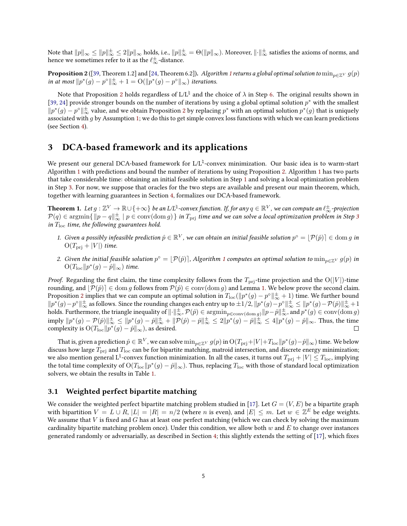Note that  $\|p\|_\infty\leq\|p\|_\infty^{\pm}\leq2\|p\|_\infty$  holds, i.e.,  $\|p\|_\infty^{\pm}=\Theta(\|p\|_\infty).$  Moreover,  $\|\cdot\|_\infty^{\pm}$  satisfies the axioms of norms, and hence we sometimes refer to it as the  $\ell_{\infty}^{\pm}$ -distance.

<span id="page-4-0"></span><code>Proposition 2</code> ([\[39,](#page-11-10) Theorem 1.2] and [\[24,](#page-11-9) Theorem 6.2]). Algorithm [1](#page-3-0) returns a global optimal solution to  $\min_{p\in\mathbb{Z}^V}g(p)$ in at most  $||p^*(g) - p^{\circ}||_{\infty}^{\pm} + 1 = O(||p^*(g) - p^{\circ}||_{\infty})$  iterations.

Note that Proposition [2](#page-4-0) holds regardless of L/L $^\natural$  and the choice of  $\lambda$  in Step [6.](#page-3-2) The original results shown in [\[39,](#page-11-10) [24\]](#page-11-9) provide stronger bounds on the number of iterations by using a global optimal solution  $p^*$  with the smallest  $||p^*(g) - p^{\circ}||_{\infty}^{\pm}$  value, and we obtain Proposition [2](#page-4-0) by replacing  $p^*$  with an optimal solution  $p^*(g)$  that is uniquely associated with  $g$  by Assumption [1;](#page-2-0) we do this to get simple convex loss functions with which we can learn predictions (see Section [4\)](#page-8-0).

### 3 DCA-based framework and its applications

We present our general DCA-based framework for L/Lʰ-convex minimization. Our basic idea is to warm-start Algorithm [1](#page-3-0) with predictions and bound the number of iterations by using Proposition [2.](#page-4-0) Algorithm [1](#page-3-0) has two parts that take considerable time: obtaining an initial feasible solution in Step [1](#page-3-3) and solving a local optimization problem in Step [3.](#page-3-1) For now, we suppose that oracles for the two steps are available and present our main theorem, which, together with learning guarantees in Section [4,](#page-8-0) formalizes our DCA-based framework.

**Theorem 1.** Let  $g:\Z^V\to\mathbb R\cup\{+\infty\}$  be an L/L<sup> $\natural$ </sup>-convex function. If, for any  $q\in\R^V$  , we can compute an  $\ell_\infty^\pm$ -projection  $\mathcal{P}(q)\in\mathop{\rm argmin}\{\|p-q\|_\infty^{\pm}\mid p\in\mathop{\rm conv}(\mathop{\rm dom} g)\}$  in  $T_{\rm pri}$  time and we can solve a local optimization problem in Step [3](#page-3-1) in  $T_{\text{loc}}$  time, the following guarantees hold.

- 1. Given a possibly infeasible prediction  $\hat{p} \in \mathbb{R}^V$ , we can obtain an initial feasible solution  $p^{\circ} = [\mathcal{P}(\hat{p})] \in \text{dom } g$  in  $O(T_{\text{pri}} + |V|)$  time.
- 2. Given the initial feasible solution  $p^{\circ} = \lfloor P(\hat{p}) \rceil$ , Algorithm [1](#page-3-0) computes an optimal solution to  $\min_{p \in \mathbb{Z}^V} g(p)$  in  $O(T_{\text{loc}}||p^*(g) - \hat{p}||_{\infty})$  time.

*Proof.* Regarding the first claim, the time complexity follows from the  $T_{\text{pri}}$ -time projection and the O(|V|)-time rounding, and  $\mathcal{P}(\hat{p}) \in \text{dom } g$  follows from  $\mathcal{P}(\hat{p}) \in \text{conv}(\text{dom } g)$  and Lemma [1.](#page-3-4) We below prove the second claim. Proposition [2](#page-4-0) implies that we can compute an optimal solution in  $T_{\rm loc}(\|p^*(g)-p^o\|_\infty^{\pm}+1)$  time. We further bound  $\|p^*(g)-p^\circ\|_\infty^\pm$  as follows. Since the rounding changes each entry up to  $\pm 1/2$ ,  $\|p^*(g)-p^\circ\|_\infty^\pm \leq \|p^*(g)-\mathcal{P}(\hat{p})\|_\infty^\pm + 1$ holds. Furthermore, the triangle inequality of  $\|\cdot\|_{\infty}^{\pm}$ ,  $\mathcal{P}(\hat{p}) \in \operatorname{argmin}_{p\in \operatorname{conv}(\operatorname{dom} g)}\|p-\hat{p}\|_{\infty}^{\pm}$ , and  $p^*(g) \in \operatorname{conv}(\operatorname{dom} g)$  $\text{imply } \|p^*(g)-\mathcal{P}(\hat{p})\|_\infty^{\pm}\leq\|p^*(g)-\hat{p}\|_\infty^{\pm}+\|\mathcal{P}(\hat{p})-\hat{p}\|_\infty^{\pm}\leq2\|p^*(g)-\hat{p}\|_\infty^{\pm}\leq4\|p^*(g)-\hat{p}\|_\infty.$  Thus, the time complexity is  $\mathrm{O}(T_\mathrm{loc} \| p^*(g) - \hat{p} \|_\infty)$ , as desired.  $\Box$ 

That is, given a prediction  $\hat{p}\in\mathbb{R}^V$ , we can solve  $\min_{p\in\mathbb{Z}^V}g(p)$  in  $\mathrm{O}(T_\mathrm{pri}+|V|+T_\mathrm{loc}\|p^*(g)-\hat{p}\|_\infty)$  time. We below discuss how large  $T_{\text{pri}}$  and  $T_{\text{loc}}$  can be for bipartite matching, matroid intersection, and discrete energy minimization; we also mention general L<sup>ḥ</sup>-convex function minimization. In all the cases, it turns out  $T_{\rm pri}+|V|\le T_{\rm loc}$ , implying the total time complexity of  $\mathrm{O}(T_{\rm loc}\|p^*(g)-\hat{p}\|_\infty).$  Thus, replacing  $T_{\rm loc}$  with those of standard local optimization solvers, we obtain the results in Table [1.](#page-1-1)

#### 3.1 Weighted perfect bipartite matching

We consider the weighted perfect bipartite matching problem studied in [\[17\]](#page-10-3). Let  $G = (V, E)$  be a bipartite graph with bipartition  $V = L \cup R$ ,  $|L| = |R| = n/2$  (where n is even), and  $|E| \le m$ . Let  $w \in \mathbb{Z}^E$  be edge weights. We assume that  $V$  is fixed and  $G$  has at least one perfect matching (which we can check by solving the maximum cardinality bipartite matching problem once). Under this condition, we allow both  $w$  and  $E$  to change over instances generated randomly or adversarially, as described in Section [4;](#page-8-0) this slightly extends the setting of  $[17]$ , which fixes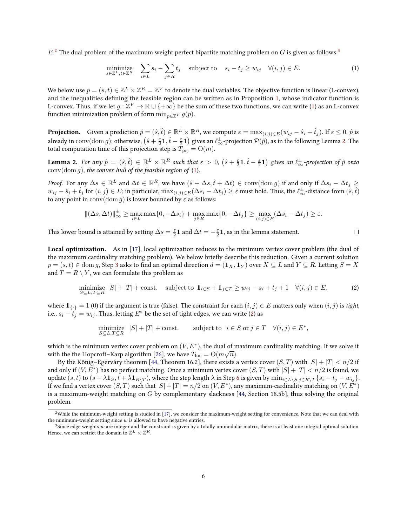$E<sup>2</sup>$  $E<sup>2</sup>$  $E<sup>2</sup>$  The dual problem of the maximum weight perfect bipartite matching problem on  $G$  is given as follows:<sup>[3](#page-5-1)</sup>

$$
\underset{s \in \mathbb{Z}^L, t \in \mathbb{Z}^R}{\text{minimize}} \quad \sum_{i \in L} s_i - \sum_{j \in R} t_j \quad \text{subject to} \quad s_i - t_j \ge w_{ij} \quad \forall (i, j) \in E. \tag{1}
$$

We below use  $p=(s,t)\in\mathbb{Z}^L\times\mathbb{Z}^R=\mathbb{Z}^V$  to denote the dual variables. The objective function is linear (L-convex), and the inequalities defining the feasible region can be written as in Proposition [1,](#page-3-5) whose indicator function is L-convex. Thus, if we let  $g:\overline{\Z}^V\to\mathbb{R}\cup\{+\infty\}$  be the sum of these two functions, we can write [\(1\)](#page-5-2) as an L-convex function minimization problem of form  $\min_{p \in \mathbb{Z}^V} g(p)$ .

**Projection.** Given a prediction  $\hat{p}=(\hat{s},\hat{t})\in\mathbb{R}^{L}\times\mathbb{R}^{R}$ , we compute  $\varepsilon=\max_{(i,j)\in E}(w_{ij}-\hat{s}_{i}+\hat{t}_{j}).$  If  $\varepsilon\leq0,\hat{p}$  is already in  $\mathrm{conv}(\mathrm{dom}\, g)$ ; otherwise,  $\big(\hat{s}+\frac{\varepsilon}{2}\mathbf{1},\hat{t}-\frac{\varepsilon}{2}\mathbf{1}\big)$  gives an  $\ell_{\infty}^{\pm}$ -projection  $\mathcal{P}(\hat{p})$ , as in the following Lemma [2.](#page-5-3) The total computation time of this projection step is  $T_{\text{pri}} = O(m)$ .

<span id="page-5-3"></span>**Lemma 2.** For any  $\hat{p} = (\hat{s}, \hat{t}) \in \mathbb{R}^L \times \mathbb{R}^R$  such that  $\varepsilon > 0$ ,  $(\hat{s} + \frac{\varepsilon}{2}\mathbf{1}, \hat{t} - \frac{\varepsilon}{2}\mathbf{1})$  gives an  $\ell_{\infty}^{\pm}$ -projection of  $\hat{p}$  onto  $conv(\text{dom } q)$ , the convex hull of the feasible region of [\(1\)](#page-5-2).

*Proof.* For any  $\Delta s \in \mathbb{R}^L$  and  $\Delta t \in \mathbb{R}^R$ , we have  $(\hat{s} + \Delta s, \hat{t} + \Delta t) \in \text{conv}(\text{dom } g)$  if and only if  $\Delta s_i - \Delta t_j \geq$  $w_{ij}-\hat{s}_i+\hat{t}_j$  for  $(i,j)\in E;$  in particular,  $\max_{(i,j)\in E}(\Delta s_i-\Delta t_j)\geq \varepsilon$  must hold. Thus, the  $\ell_{\infty}^{\pm}$ -distance from  $(\hat{s},\hat{t})$ to any point in  $conv(\text{dom } g)$  is lower bounded by  $\varepsilon$  as follows:

$$
\|(\Delta s, \Delta t)\|_{\infty}^{\pm} \ge \max_{i \in L} \max\{0, +\Delta s_i\} + \max_{j \in R} \max\{0, -\Delta t_j\} \ge \max_{(i,j) \in E} (\Delta s_i - \Delta t_j) \ge \varepsilon.
$$

This lower bound is attained by setting  $\Delta s = \frac{\varepsilon}{2}\mathbf{1}$  and  $\Delta t = -\frac{\varepsilon}{2}\mathbf{1}$ , as in the lemma statement.

Local optimization. As in [\[17\]](#page-10-3), local optimization reduces to the minimum vertex cover problem (the dual of the maximum cardinality matching problem). We below briefly describe this reduction. Given a current solution  $p = (s, t) \in \text{dom } q$ , Step [3](#page-3-1) asks to find an optimal direction  $d = (\mathbf{1}_X, \mathbf{1}_Y)$  over  $X \subseteq L$  and  $Y \subseteq R$ . Letting  $S = X$ and  $T = R \setminus Y$ , we can formulate this problem as

minimize 
$$
|S| + |T|
$$
 + const. subject to  $\mathbb{1}_{i \in S} + \mathbb{1}_{j \in T} \ge w_{ij} - s_i + t_j + 1 \quad \forall (i, j) \in E,$  (2)

<span id="page-5-4"></span><span id="page-5-2"></span> $\Box$ 

where  $1_{\{.\}} = 1$  (0) if the argument is true (false). The constraint for each  $(i, j) \in E$  matters only when  $(i, j)$  is tight, i.e.,  $s_i - t_j = w_{ij}$ . Thus, letting  $E^*$  be the set of tight edges, we can write [\(2\)](#page-5-4) as

$$
\underset{S \subseteq L, T \subseteq R}{\text{minimize}} \quad |S| + |T| + \text{const.} \qquad \text{subject to} \quad i \in S \text{ or } j \in T \quad \forall (i, j) \in E^*,
$$

which is the minimum vertex cover problem on  $(V, E^*)$ , the dual of maximum cardinality matching. If we solve it with the the Hopcroft–Karp algorithm [\[26\]](#page-11-5), we have  $T_{\text{loc}} = \text{O}(m \sqrt{n}).$ 

By the Kőnig–Egerváry theorem [\[44,](#page-12-5) Theorem 16.2], there exists a vertex cover  $(S, T)$  with  $|S| + |T| < n/2$  if and only if  $(V, E^*)$  has no perfect matching. Once a minimum vertex cover  $(S, T)$  with  $|S| + |T| < n/2$  is found, we update  $(s, t)$  to  $(s + \lambda \mathbf{1}_S, t + \lambda \mathbf{1}_{R\setminus T})$ , where the step length  $\lambda$  in Step [6](#page-3-2) is given by  $\min_{i \in L\setminus S, j \in R\setminus T} \{s_i - t_j - w_{ij}\}.$ If we find a vertex cover  $(S,T)$  such that  $|S|+|T|=n/2$  on  $(V,E^{\ast})$ , any maximum-cardinality matching on  $(V,E^{\ast})$ is a maximum-weight matching on  $G$  by complementary slackness [\[44,](#page-12-5) Section 18.5b], thus solving the original problem.

<span id="page-5-0"></span><sup>&</sup>lt;sup>2</sup>While the minimum-weight setting is studied in [\[17\]](#page-10-3), we consider the maximum-weight setting for convenience. Note that we can deal with the minimum-weight setting since  $w$  is allowed to have negative entries.

<span id="page-5-1"></span><sup>&</sup>lt;sup>3</sup>Since edge weights w are integer and the constraint is given by a totally unimodular matrix, there is at least one integral optimal solution. Hence, we can restrict the domain to  $\mathbb{Z}^L \times \mathbb{Z}^R$ .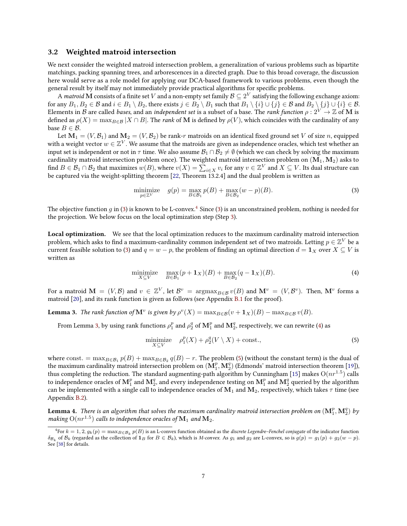#### <span id="page-6-5"></span>3.2 Weighted matroid intersection

We next consider the weighted matroid intersection problem, a generalization of various problems such as bipartite matchings, packing spanning trees, and arborescences in a directed graph. Due to this broad coverage, the discussion here would serve as a role model for applying our DCA-based framework to various problems, even though the general result by itself may not immediately provide practical algorithms for specific problems.

A *matroid*  ${\bf M}$  consists of a finite set  $V$  and a non-empty set family  ${\cal B}\subseteq 2^V$  satisfying the following exchange axiom: for any  $B_1, B_2 \in \mathcal{B}$  and  $i \in B_1 \setminus B_2$ , there exists  $j \in B_2 \setminus B_1$  such that  $B_1 \setminus \{i\} \cup \{j\} \in \mathcal{B}$  and  $B_2 \setminus \{j\} \cup \{i\} \in \mathcal{B}$ . Elements in B are called bases, and an independent set is a subset of a base. The rank function  $\rho: 2^V \to \mathbb{Z}$  of M is defined as  $\rho(X) = \max_{B \in \mathcal{B}} |X \cap B|$ . The *rank* of M is defined by  $\rho(V)$ , which coincides with the cardinality of any base  $B \in \mathcal{B}$ .

Let  $M_1 = (V, B_1)$  and  $M_2 = (V, B_2)$  be rank-r matroids on an identical fixed ground set V of size n, equipped with a weight vector  $w \in \mathbb{Z}^V$ . We assume that the matroids are given as independence oracles, which test whether an input set is independent or not in  $\tau$  time. We also assume  $\mathcal{B}_1 \cap \mathcal{B}_2 \neq \emptyset$  (which we can check by solving the maximum cardinality matroid intersection problem once). The weighted matroid intersection problem on  $(M_1,M_2)$  asks to find  $B\in\mathcal{B}_1\cap\mathcal{B}_2$  that maximizes  $w(B)$ , where  $v(X)=\sum_{i\in X}v_i$  for any  $v\in\mathbb{Z}^V$  and  $X\subseteq V.$  Its dual structure can be captured via the weight-splitting theorem [\[22,](#page-11-11) Theorem 13.2.4] and the dual problem is written as

<span id="page-6-0"></span>
$$
\underset{p \in \mathbb{Z}^V}{\text{minimize}} \quad g(p) = \max_{B \in \mathcal{B}_1} p(B) + \max_{B \in \mathcal{B}_2} (w - p)(B). \tag{3}
$$

The objective function q in [\(3\)](#page-6-0) is known to be L-convex.<sup>[4](#page-6-1)</sup> Since (3) is an unconstrained problem, nothing is needed for the projection. We below focus on the local optimization step (Step [3\)](#page-3-1).

Local optimization. We see that the local optimization reduces to the maximum cardinality matroid intersection problem, which asks to find a maximum-cardinality common independent set of two matroids. Letting  $p\in\mathbb{Z}^V$  be a current feasible solution to [\(3\)](#page-6-0) and  $q = w - p$ , the problem of finding an optimal direction  $d = 1<sub>X</sub>$  over  $X \subseteq V$  is written as

$$
\underset{X \subseteq V}{\text{minimize}} \quad \underset{B \in \mathcal{B}_1}{\text{max}} (p + \mathbf{1}_X)(B) + \underset{B \in \mathcal{B}_2}{\text{max}} (q - \mathbf{1}_X)(B). \tag{4}
$$

For a matroid  $\mathbf{M} = (V, \mathcal{B})$  and  $v \in \mathbb{Z}^V$ , let  $\mathcal{B}^v = \operatorname{argmax}_{B \in \mathcal{B}} v(B)$  and  $\mathbf{M}^v = (V, \mathcal{B}^v)$ . Then,  $\mathbf{M}^v$  forms a matroid [\[20\]](#page-10-11), and its rank function is given as follows (see Appendix [B.1](#page-13-1) for the proof).

<span id="page-6-2"></span>**Lemma 3.** The rank function of  $\mathbf{M}^v$  is given by  $\rho^v(X) = \max_{B \in \mathcal{B}} (v + \mathbf{1}_X)(B) - \max_{B \in \mathcal{B}} v(B)$ .

From Lemma [3,](#page-6-2) by using rank functions  $\rho_1^p$  and  $\rho_2^q$  of  $\mathbf{M}_1^p$  and  $\mathbf{M}_2^q$ , respectively, we can rewrite [\(4\)](#page-6-3) as

<span id="page-6-4"></span><span id="page-6-3"></span>
$$
\underset{X \subseteq V}{\text{minimize}} \quad \rho_1^p(X) + \rho_2^q(V \setminus X) + \text{const.},\tag{5}
$$

where  $\text{const.} = \max_{B \in \mathcal{B}_1} p(B) + \max_{B \in \mathcal{B}_2} q(B) - r$ . The problem [\(5\)](#page-6-4) (without the constant term) is the dual of the maximum cardinality matroid intersection problem on  $(M_1^p, M_2^q)$  (Edmonds' matroid intersection theorem [\[19\]](#page-10-12)), thus completing the reduction. The standard augmenting-path algorithm by Cunningham [\[15\]](#page-10-6) makes  $\mathrm{O}(nr^{1.5})$  calls to independence oracles of  $\mathbf{M}^p_1$  and  $\mathbf{M}^q_2$ , and every independence testing on  $\mathbf{M}^p_1$  and  $\mathbf{M}^q_2$  queried by the algorithm can be implemented with a single call to independence oracles of  $M_1$  and  $M_2$ , respectively, which takes  $\tau$  time (see Appendix [B.2\)](#page-14-0).

<span id="page-6-6"></span>**Lemma 4.** There is an algorithm that solves the maximum cardinality matroid intersection problem on  $(\mathbf{M}^p_1,\mathbf{M}^q_2)$  by making  $\mathrm{O}(nr^{1.5})$  calls to independence oracles of  $\mathbf{M}_1$  and  $\mathbf{M}_2.$ 

<span id="page-6-1"></span> ${}^4$ For  $k = 1, 2, g_k(p) = \max_{B \in \mathcal{B}_k} p(B)$  is an L-convex function obtained as the *discrete Legendre–Fenchel conjugate* of the indicator function  $\delta_{\mathcal{B}_k}$  of  $\mathcal{B}_k$  (regarded as the collection of  $\mathbf{1}_B$  for  $B \in \mathcal{B}_k$ ), which is M-convex. As  $g_1$  and  $g_2$  are L-convex, so is  $g(p) = g_1(p) + g_2(w - p)$ . See [\[38\]](#page-11-3) for details.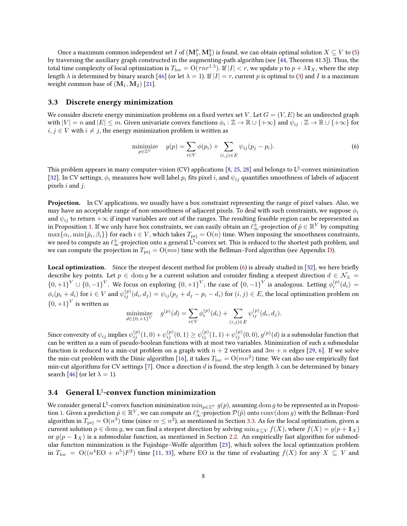Once a maximum common independent set  $I$  of  $(\mathbf{M}^p_1,\mathbf{M}^q_2)$  is found, we can obtain optimal solution  $X\subseteq V$  to [\(5\)](#page-6-4) by traversing the auxiliary graph constructed in the augmenting-path algorithm (see [\[44,](#page-12-5) Theorem 41.3]). Thus, the total time complexity of local optimization is  $T_{\rm loc}=O(\tau nr^{1.5})$ . If  $|I|< r,$  we update  $p$  to  $p+\lambda{\bf 1}_X,$  where the step length  $\lambda$  is determined by binary search [\[46\]](#page-12-4) (or let  $\lambda = 1$ ). If  $|I| = r$ , current p is optimal to [\(3\)](#page-6-0) and I is a maximum weight common base of  $(M_1, M_2)$  [\[21\]](#page-11-12).

#### <span id="page-7-1"></span>3.3 Discrete energy minimization

We consider discrete energy minimization problems on a fixed vertex set V. Let  $G = (V, E)$  be an undirected graph with  $|V| = n$  and  $|E| \le m$ . Given univariate convex functions  $\phi_i : \mathbb{Z} \to \mathbb{R} \cup \{+\infty\}$  and  $\psi_{ij} : \mathbb{Z} \to \mathbb{R} \cup \{+\infty\}$  for  $i, j \in V$  with  $i \neq j$ , the energy minimization problem is written as

<span id="page-7-0"></span>
$$
\underset{p \in \mathbb{Z}^V}{\text{minimize}} \quad g(p) = \sum_{i \in V} \phi(p_i) + \sum_{(i,j) \in E} \psi_{ij}(p_j - p_i). \tag{6}
$$

This problem appears in many computer-vision (CV) applications [\[8,](#page-10-13) [25,](#page-11-8) [28\]](#page-11-13) and belongs to  $L^\natural$ -convex minimization [\[32\]](#page-11-14). In CV settings,  $\phi_i$  measures how well label  $p_i$  fits pixel i, and  $\psi_{ij}$  quantifies smoothness of labels of adjacent pixels  $i$  and  $j$ .

Projection. In CV applications, we usually have a box constraint representing the range of pixel values. Also, we may have an acceptable range of non-smoothness of adjacent pixels. To deal with such constraints, we suppose  $\phi_i$ and  $\psi_{ij}$  to return  $+\infty$  if input variables are out of the ranges. The resulting feasible region can be represented as in Proposition [1.](#page-3-5) If we only have box constraints, we can easily obtain an  $\ell_\infty^\pm$ -projection of  $\hat p\in\mathbb R^V$  by computing  $\max\{\alpha_i,\min\{\hat{p}_i,\beta_i\}\}$  for each  $i\in V,$  which takes  $T_{\text{pri}} = \mathrm{O}(n)$  time. When imposing the smoothness constraints, we need to compute an  $\ell^\pm_\infty$ -projection onto a general  $\hat L^\natural$ -convex set. This is reduced to the shortest path problem, and we can compute the projection in  $T_{\text{pri}} = O(mn)$  time with the Bellman–Ford algorithm (see Appendix [D\)](#page-15-0).

Local optimization. Since the steepest descent method for problem [\(6\)](#page-7-0) is already studied in [\[32\]](#page-11-14), we here briefly describe key points. Let  $p \in \text{dom } g$  be a current solution and consider finding a steepest direction  $d \in \mathcal{N}_{\pm}$  $\{0,+1\}^V \cup \{0,-1\}^V$ . We focus on exploring  $\{0,+1\}^V$ ; the case of  $\{0,-1\}^V$  is analogous. Letting  $\phi_i^{(p)}(d_i)$  =  $\phi_i(p_i+d_i)$  for  $i\in V$  and  $\psi_{ij}^{(p)}(d_i,d_j)=\psi_{ij}(p_j+d_j-p_i-d_i)$  for  $(i,j)\in E,$  the local optimization problem on  ${0,+1}^V$  is written as

minimize 
$$
g^{(p)}(d) = \sum_{i \in V} \phi_i^{(p)}(d_i) + \sum_{(i,j) \in E} \psi_{ij}^{(p)}(d_i, d_j).
$$

Since convexity of  $\psi_{ij}$  implies  $\psi_{ij}^{(p)}(1,0)+\psi_{ij}^{(p)}(0,1)\geq \psi_{ij}^{(p)}(1,1)+\psi_{ij}^{(p)}(0,0),$   $g^{(p)}(d)$  is a submodular function that can be written as a sum of pseudo-boolean functions with at most two variables. Minimization of such a submodular function is reduced to a min-cut problem on a graph with  $n + 2$  vertices and  $3m + n$  edges [\[29,](#page-11-15) [6\]](#page-10-14). If we solve the min-cut problem with the Dinic algorithm [\[16\]](#page-10-15), it takes  $T_{\rm loc}={\rm O}(mn^2)$  time. We can also use empirically fast min-cut algorithms for CV settings [\[7\]](#page-10-16). Once a direction d is found, the step length  $\lambda$  can be determined by binary search [\[46\]](#page-12-4) (or let  $\lambda = 1$ ).

### 3.4 General L\ -convex function minimization

We consider general L<sup>‡</sup>-convex function minimization  $\min_{p\in\mathbb{Z}^V}g(p)$ , assuming  $\dim g$  to be represented as in Proposi-tion [1.](#page-3-5) Given a prediction  $\hat{p} \in \mathbb{R}^V$ , we can compute an  $\ell_{\infty}^{\pm}$ -projection  $\mathcal{P}(\hat{p})$  onto  $\text{conv}(\text{dom } g)$  with the Bellman–Ford algorithm in  $T_{\rm pri}= {\rm O}(n^3)$  time (since  $m\le n^2$ ), as mentioned in Section [3.3.](#page-7-1) As for the local optimization, given a current solution  $p \in \text{dom } q$ , we can find a steepest direction by solving  $\min_{X \subset V} f(X)$ , where  $f(X) = g(p + \mathbf{1}_X)$ or  $g(p - 1<sub>X</sub>)$  is a submodular function, as mentioned in Section [2.2.](#page-3-6) An empirically fast algorithm for submodular function minimization is the Fujishige–Wolfe algorithm [\[23\]](#page-11-16), which solves the local optimization problem in  $T_{\text{loc}} = O((n^4 \to 0 + n^5)F^2)$  time [\[11,](#page-10-17) [33\]](#page-11-17), where EO is the time of evaluating  $f(X)$  for any  $X \subseteq V$  and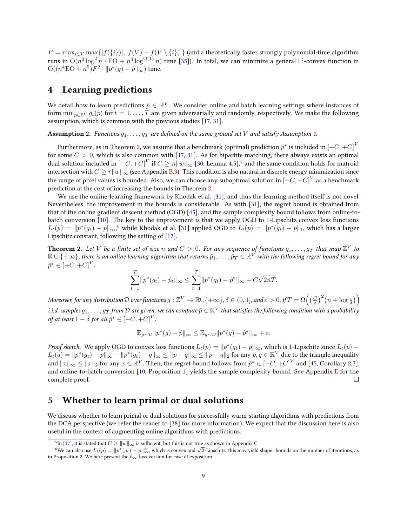$F = \max_{i \in V} \max\{|f(\{i\})|, |f(V) - f(V \setminus \{i\})|\}$  (and a theoretically faster strongly polynomial-time algorithm runs in  $\O(n^3\log^2 n \cdot \rm{EO} + n^4\log^{O(1)} n)$  time [\[35\]](#page-11-6)). In total, we can minimize a general  $\rm{L^{\natural}}$ -convex function in  $\mathrm{O}((n^4\mathrm{EO}+n^5)F^2\cdot\|p^*(g)-\hat{p}\|_\infty)$  time.

### <span id="page-8-0"></span>4 Learning predictions

We detail how to learn predictions  $\hat{p} \in \mathbb{R}^V$ . We consider online and batch learning settings where instances of form  $\min_{p \in \mathbb{Z}^V} g_t(p)$  for  $t = 1, \ldots, T$  are given adversarially and randomly, respectively. We make the following assumption, which is common with the previous studies [\[17,](#page-10-3) [31\]](#page-11-4).

**Assumption 2.** Functions  $g_1, \ldots, g_T$  are defined on the same ground set V and satisfy Assumption [1.](#page-2-0)

Furthermore, as in Theorem [2,](#page-8-1) we assume that a benchmark (optimal) prediction  $\hat{p}^*$  is included in  $[-C,+C]^V$ for some  $C > 0$ , which is also common with [\[17,](#page-10-3) [31\]](#page-11-4). As for bipartite matching, there always exists an optimal dual solution included in  ${[-C,+C]}^V$  if  $C \geq n\|w\|_{\infty}$  [\[30,](#page-11-18) Lemma 4.[5](#page-8-2)], $^5$  and the same condition holds for matroid intersection with  $C \geq r||w||_{\infty}$  (see Appendix [B.3\)](#page-14-1). This condition is also natural in discrete energy minimization since the range of pixel values is bounded. Also, we can choose any suboptimal solution in  $\left[-C,+C\right]^V$  as a benchmark prediction at the cost of increasing the bounds in Theorem [2.](#page-8-1)

We use the online-learning framework by Khodak et al. [\[31\]](#page-11-4), and thus the learning method itself is not novel. Nevertheless, the improvement in the bounds is considerable. As with [\[31\]](#page-11-4), the regret bound is obtained from that of the online gradient descent method (OGD) [\[45\]](#page-12-6), and the sample complexity bound follows from online-tobatch conversion [\[10\]](#page-10-18). The key to the improvement is that we apply OGD to 1-Lipschitz convex loss functions  $L_t(p) = \|p^*(g_t) - p\|_\infty$ , $^6$  $^6$  while Khodak et al. [\[31\]](#page-11-4) applied OGD to  $L_t(p) = \|p^*(g_t) - p\|_1$ , which has a larger Lipschitz constant, following the setting of [\[17\]](#page-10-3).

<span id="page-8-1"></span>**Theorem 2.** Let V be a finite set of size n and  $C > 0$ . For any sequence of functions  $g_1, \ldots, g_T$  that map  $\mathbb{Z}^V$  to  $\R\cup\{+\infty\}$ , there is an online learning algorithm that returns  $\hat p_1,\dots,\hat p_T\in\R^{V}$  with the following regret bound for any  $\hat{p}^* \in [-C, +C]^V$ 

$$
\sum_{t=1}^T \|p^*(g_t) - \hat{p}_t\|_{\infty} \le \sum_{t=1}^T \|p^*(g_t) - \hat{p}^*\|_{\infty} + C\sqrt{2nT}.
$$

Moreover, for any distribution  $\mathcal D$  over functions  $g:\mathbb Z^V\to\mathbb R\cup\{+\infty\}$ ,  $\delta\in(0,1]$ , and  $\varepsilon>0$ , if  $T=\Omega\Big(\big(\frac{C}{\varepsilon}\big)^2\big(n+\log\frac{1}{\delta}\big)\Big)$ i.i.d. samples  $g_1,\ldots,g_T$  from  ${\cal D}$  are given, we can compute  $\hat p\in\mathbb R^V$  that satisfies the following condition with a probability of at least  $1-\delta$  for all  $\hat{p}^* \in [-C,+C]^V$  :

$$
\mathbb{E}_{g\sim\mathcal{D}}\|p^*(g)-\hat{p}\|_{\infty}\leq \mathbb{E}_{g\sim\mathcal{D}}\|p^*(g)-\hat{p}^*\|_{\infty}+\varepsilon.
$$

*Proof sketch.* We apply OGD to convex loss functions  $L_t(p) = ||p^*(g_t) - p||_{\infty}$ , which is 1-Lipschitz since  $L_t(p)$  –  $L_t(q) = \|p^*(g_t) - p\|_\infty - \|p^*(g_t) - q\|_\infty \le \|p-q\|_\infty \le \|p-q\|_2$  for any  $p, q \in \mathbb{R}^V$  due to the triangle inequality and  $\|x\|_\infty\leq\|x\|_2$  for any  $x\in\mathbb{R}^V.$  Then, the regret bound follows from  $\hat{p}^*\in{[-C,+C]}^V$  and [\[45,](#page-12-6) Corollary 2.7], and online-to-batch conversion [\[10,](#page-10-18) Proposition 1] yields the sample complexity bound. See Appendix [E](#page-16-0) for the complete proof. П

### <span id="page-8-4"></span>5 Whether to learn primal or dual solutions

We discuss whether to learn primal or dual solutions for successfully warm-starting algorithms with predictions from the DCA perspective (we refer the reader to [\[38\]](#page-11-3) for more information). We expect that the discussion here is also useful in the context of augmenting online algorithms with predictions.

<span id="page-8-3"></span><span id="page-8-2"></span><sup>&</sup>lt;sup>5</sup>In [\[17\]](#page-10-3), it is stated that  $C \geq \|w\|_{\infty}$  is sufficient, but this is not true as shown in Appendix [C.](#page-15-1)

Th [17], it is stated that  $C \ge ||w||_{\infty}$  is sufficient, but this is not true as shown in Appendix C.<br><sup>6</sup>We can also use  $L_t(p) = ||p^*(g_t) - p||_{\infty}^{\pm}$ , which is convex and  $\sqrt{2}$ -Lipschitz; this may yield shaper bounds on th in Proposition [2.](#page-4-0) We here present the  $\ell_{\infty}$ -loss version for ease of exposition.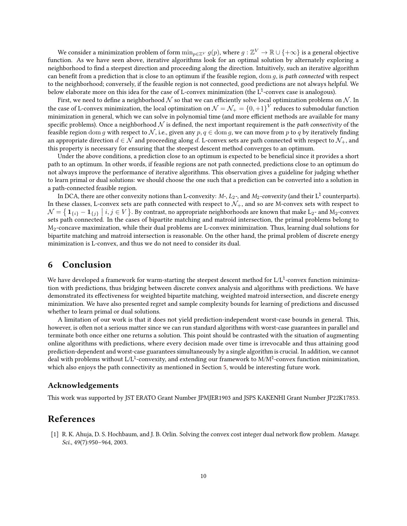We consider a minimization problem of form  $\min_{p\in\mathbb{Z}^V}g(p),$  where  $g:\mathbb{Z}^V\to\mathbb{R}\cup\{+\infty\}$  is a general objective function. As we have seen above, iterative algorithms look for an optimal solution by alternately exploring a neighborhood to find a steepest direction and proceeding along the direction. Intuitively, such an iterative algorithm can benefit from a prediction that is close to an optimum if the feasible region, dom  $g$ , is path connected with respect to the neighborhood; conversely, if the feasible region is not connected, good predictions are not always helpful. We below elaborate more on this idea for the case of L-convex minimization (the  $L^\natural$ -convex case is analogous).

First, we need to define a neighborhood  $N$  so that we can efficiently solve local optimization problems on  $N$ . In the case of L-convex minimization, the local optimization on  $\mathcal{N}=\mathcal{N}_+=\{0,+1\}^V$  reduces to submodular function minimization in general, which we can solve in polynomial time (and more efficient methods are available for many specific problems). Once a neighborhood  $\mathcal N$  is defined, the next important requirement is the *path connectivity* of the feasible region dom g with respect to N, i.e., given any  $p, q \in \text{dom } g$ , we can move from p to q by iteratively finding an appropriate direction  $d \in \mathcal{N}$  and proceeding along d. L-convex sets are path connected with respect to  $\mathcal{N}_+$ , and this property is necessary for ensuring that the steepest descent method converges to an optimum.

Under the above conditions, a prediction close to an optimum is expected to be beneficial since it provides a short path to an optimum. In other words, if feasible regions are not path connected, predictions close to an optimum do not always improve the performance of iterative algorithms. This observation gives a guideline for judging whether to learn primal or dual solutions: we should choose the one such that a prediction can be converted into a solution in a path-connected feasible region.

In DCA, there are other convexity notions than L-convexity:  $M$ -,  $L_2$ -, and  $M_2$ -*convexity* (and their L $^\natural$  counterparts). In these classes, L-convex sets are path connected with respect to  $\mathcal{N}_+$ , and so are M-convex sets with respect to  $\mathcal{N} = \left\{ \mathbf{1}_{\{i\}} - \mathbf{1}_{\{j\}} \; \middle| \; i, j \in V \right\}$ . By contrast, no appropriate neighborhoods are known that make L<sub>2</sub>- and M<sub>2</sub>-convex sets path connected. In the cases of bipartite matching and matroid intersection, the primal problems belong to M2-concave maximization, while their dual problems are L-convex minimization. Thus, learning dual solutions for bipartite matching and matroid intersection is reasonable. On the other hand, the primal problem of discrete energy minimization is L-convex, and thus we do not need to consider its dual.

### <span id="page-9-0"></span>6 Conclusion

We have developed a framework for warm-starting the steepest descent method for L/L<sup>‡</sup>-convex function minimization with predictions, thus bridging between discrete convex analysis and algorithms with predictions. We have demonstrated its effectiveness for weighted bipartite matching, weighted matroid intersection, and discrete energy minimization. We have also presented regret and sample complexity bounds for learning of predictions and discussed whether to learn primal or dual solutions.

A limitation of our work is that it does not yield prediction-independent worst-case bounds in general. This, however, is often not a serious matter since we can run standard algorithms with worst-case guarantees in parallel and terminate both once either one returns a solution. This point should be contrasted with the situation of augmenting online algorithms with predictions, where every decision made over time is irrevocable and thus attaining good prediction-dependent and worst-case guarantees simultaneously by a single algorithm is crucial. In addition, we cannot deal with problems without L/Lʰ-convexity, and extending our framework to M/Mʰ-convex function minimization, which also enjoys the path connectivity as mentioned in Section [5,](#page-8-4) would be interesting future work.

#### Acknowledgements

This work was supported by JST ERATO Grant Number JPMJER1903 and JSPS KAKENHI Grant Number JP22K17853.

#### References

<span id="page-9-1"></span>[1] R. K. Ahuja, D. S. Hochbaum, and J. B. Orlin. Solving the convex cost integer dual network flow problem. Manage. Sci., 49(7):950-964, 2003.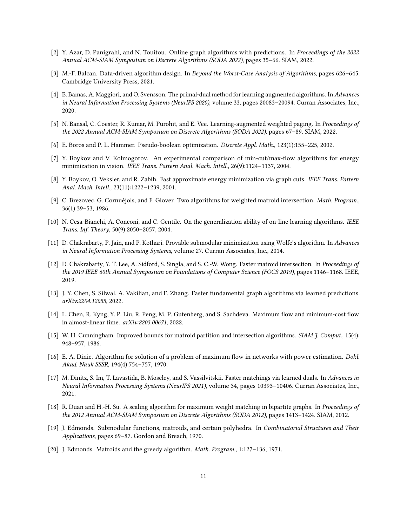- <span id="page-10-1"></span>[2] Y. Azar, D. Panigrahi, and N. Touitou. Online graph algorithms with predictions. In Proceedings of the 2022 Annual ACM-SIAM Symposium on Discrete Algorithms (SODA 2022), pages 35–66. SIAM, 2022.
- <span id="page-10-9"></span>[3] M.-F. Balcan. Data-driven algorithm design. In Beyond the Worst-Case Analysis of Algorithms, pages 626–645. Cambridge University Press, 2021.
- <span id="page-10-0"></span>[4] E. Bamas, A. Maggiori, and O. Svensson. The primal-dual method for learning augmented algorithms. In Advances in Neural Information Processing Systems (NeurIPS 2020), volume 33, pages 20083–20094. Curran Associates, Inc., 2020.
- <span id="page-10-2"></span>[5] N. Bansal, C. Coester, R. Kumar, M. Purohit, and E. Vee. Learning-augmented weighted paging. In Proceedings of the 2022 Annual ACM-SIAM Symposium on Discrete Algorithms (SODA 2022), pages 67–89. SIAM, 2022.
- <span id="page-10-14"></span>[6] E. Boros and P. L. Hammer. Pseudo-boolean optimization. Discrete Appl. Math., 123(1):155–225, 2002.
- <span id="page-10-16"></span>[7] Y. Boykov and V. Kolmogorov. An experimental comparison of min-cut/max-flow algorithms for energy minimization in vision. IEEE Trans. Pattern Anal. Mach. Intell., 26(9):1124–1137, 2004.
- <span id="page-10-13"></span>[8] Y. Boykov, O. Veksler, and R. Zabih. Fast approximate energy minimization via graph cuts. IEEE Trans. Pattern Anal. Mach. Intell., 23(11):1222–1239, 2001.
- <span id="page-10-8"></span>[9] C. Brezovec, G. Cornuéjols, and F. Glover. Two algorithms for weighted matroid intersection. Math. Program., 36(1):39–53, 1986.
- <span id="page-10-18"></span>[10] N. Cesa-Bianchi, A. Conconi, and C. Gentile. On the generalization ability of on-line learning algorithms. IEEE Trans. Inf. Theory, 50(9):2050–2057, 2004.
- <span id="page-10-17"></span>[11] D. Chakrabarty, P. Jain, and P. Kothari. Provable submodular minimization using Wolfe's algorithm. In Advances in Neural Information Processing Systems, volume 27. Curran Associates, Inc., 2014.
- <span id="page-10-7"></span>[12] D. Chakrabarty, Y. T. Lee, A. Sidford, S. Singla, and S. C.-W. Wong. Faster matroid intersection. In Proceedings of the 2019 IEEE 60th Annual Symposium on Foundations of Computer Science (FOCS 2019), pages 1146–1168. IEEE, 2019.
- <span id="page-10-10"></span>[13] J. Y. Chen, S. Silwal, A. Vakilian, and F. Zhang. Faster fundamental graph algorithms via learned predictions. arXiv:2204.12055, 2022.
- <span id="page-10-5"></span>[14] L. Chen, R. Kyng, Y. P. Liu, R. Peng, M. P. Gutenberg, and S. Sachdeva. Maximum flow and minimum-cost flow in almost-linear time. arXiv:2203.00671, 2022.
- <span id="page-10-6"></span>[15] W. H. Cunningham. Improved bounds for matroid partition and intersection algorithms. SIAM J. Comput., 15(4): 948–957, 1986.
- <span id="page-10-15"></span>[16] E. A. Dinic. Algorithm for solution of a problem of maximum flow in networks with power estimation. *Dokl.* Akad. Nauk SSSR, 194(4):754–757, 1970.
- <span id="page-10-3"></span>[17] M. Dinitz, S. Im, T. Lavastida, B. Moseley, and S. Vassilvitskii. Faster matchings via learned duals. In Advances in Neural Information Processing Systems (NeurIPS 2021), volume 34, pages 10393–10406. Curran Associates, Inc., 2021.
- <span id="page-10-4"></span>[18] R. Duan and H.-H. Su. A scaling algorithm for maximum weight matching in bipartite graphs. In Proceedings of the 2012 Annual ACM-SIAM Symposium on Discrete Algorithms (SODA 2012), pages 1413–1424. SIAM, 2012.
- <span id="page-10-12"></span>[19] J. Edmonds. Submodular functions, matroids, and certain polyhedra. In Combinatorial Structures and Their Applications, pages 69–87. Gordon and Breach, 1970.
- <span id="page-10-11"></span>[20] J. Edmonds. Matroids and the greedy algorithm. Math. Program., 1:127–136, 1971.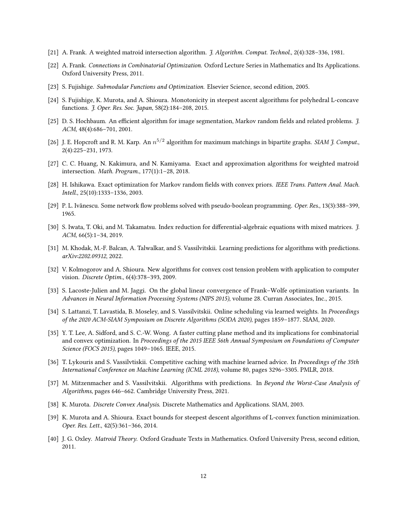- <span id="page-11-12"></span>[21] A. Frank. A weighted matroid intersection algorithm. *J. Algorithm. Comput. Technol.*, 2(4):328–336, 1981.
- <span id="page-11-11"></span>[22] A. Frank. Connections in Combinatorial Optimization. Oxford Lecture Series in Mathematics and Its Applications. Oxford University Press, 2011.
- <span id="page-11-16"></span>[23] S. Fujishige. Submodular Functions and Optimization. Elsevier Science, second edition, 2005.
- <span id="page-11-9"></span>[24] S. Fujishige, K. Murota, and A. Shioura. Monotonicity in steepest ascent algorithms for polyhedral L-concave functions. J. Oper. Res. Soc. Japan, 58(2):184–208, 2015.
- <span id="page-11-8"></span>[25] D. S. Hochbaum. An efficient algorithm for image segmentation, Markov random fields and related problems. J. ACM, 48(4):686–701, 2001.
- <span id="page-11-5"></span>[26] J. E. Hopcroft and R. M. Karp. An  $n^{5/2}$  algorithm for maximum matchings in bipartite graphs. SIAM J. Comput., 2(4):225–231, 1973.
- <span id="page-11-7"></span>[27] C. C. Huang, N. Kakimura, and N. Kamiyama. Exact and approximation algorithms for weighted matroid intersection. Math. Program., 177(1):1–28, 2018.
- <span id="page-11-13"></span>[28] H. Ishikawa. Exact optimization for Markov random fields with convex priors. IEEE Trans. Pattern Anal. Mach. Intell., 25(10):1333–1336, 2003.
- <span id="page-11-15"></span>[29] P. L. Ivănescu. Some network flow problems solved with pseudo-boolean programming. Oper. Res., 13(3):388–399, 1965.
- <span id="page-11-18"></span>[30] S. Iwata, T. Oki, and M. Takamatsu. Index reduction for differential-algebraic equations with mixed matrices. J. ACM, 66(5):1–34, 2019.
- <span id="page-11-4"></span>[31] M. Khodak, M.-F. Balcan, A. Talwalkar, and S. Vassilvitskii. Learning predictions for algorithms with predictions. arXiv:2202.09312, 2022.
- <span id="page-11-14"></span>[32] V. Kolmogorov and A. Shioura. New algorithms for convex cost tension problem with application to computer vision. Discrete Optim., 6(4):378–393, 2009.
- <span id="page-11-17"></span>[33] S. Lacoste-Julien and M. Jaggi. On the global linear convergence of Frank–Wolfe optimization variants. In Advances in Neural Information Processing Systems (NIPS 2015), volume 28. Curran Associates, Inc., 2015.
- <span id="page-11-1"></span>[34] S. Lattanzi, T. Lavastida, B. Moseley, and S. Vassilvitskii. Online scheduling via learned weights. In Proceedings of the 2020 ACM-SIAM Symposium on Discrete Algorithms (SODA 2020), pages 1859–1877. SIAM, 2020.
- <span id="page-11-6"></span>[35] Y. T. Lee, A. Sidford, and S. C.-W. Wong. A faster cutting plane method and its implications for combinatorial and convex optimization. In Proceedings of the 2015 IEEE 56th Annual Symposium on Foundations of Computer Science (FOCS 2015), pages 1049–1065. IEEE, 2015.
- <span id="page-11-0"></span>[36] T. Lykouris and S. Vassilvtiskii. Competitive caching with machine learned advice. In Proceedings of the 35th International Conference on Machine Learning (ICML 2018), volume 80, pages 3296–3305. PMLR, 2018.
- <span id="page-11-2"></span>[37] M. Mitzenmacher and S. Vassilvitskii. Algorithms with predictions. In Beyond the Worst-Case Analysis of Algorithms, pages 646–662. Cambridge University Press, 2021.
- <span id="page-11-3"></span>[38] K. Murota. Discrete Convex Analysis. Discrete Mathematics and Applications. SIAM, 2003.
- <span id="page-11-10"></span>[39] K. Murota and A. Shioura. Exact bounds for steepest descent algorithms of L-convex function minimization. Oper. Res. Lett., 42(5):361–366, 2014.
- <span id="page-11-19"></span>[40] J. G. Oxley. Matroid Theory. Oxford Graduate Texts in Mathematics. Oxford University Press, second edition, 2011.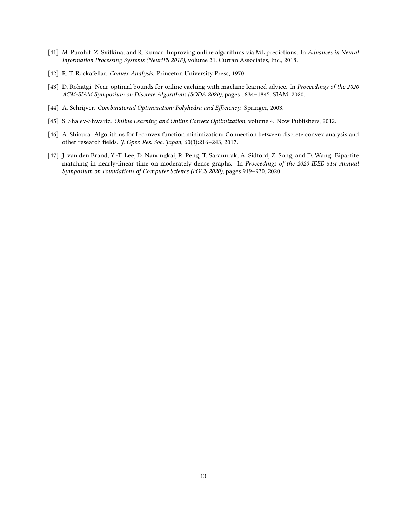- <span id="page-12-0"></span>[41] M. Purohit, Z. Svitkina, and R. Kumar. Improving online algorithms via ML predictions. In Advances in Neural Information Processing Systems (NeurIPS 2018), volume 31. Curran Associates, Inc., 2018.
- <span id="page-12-2"></span>[42] R. T. Rockafellar. Convex Analysis. Princeton University Press, 1970.
- <span id="page-12-1"></span>[43] D. Rohatgi. Near-optimal bounds for online caching with machine learned advice. In Proceedings of the 2020 ACM-SIAM Symposium on Discrete Algorithms (SODA 2020), pages 1834–1845. SIAM, 2020.
- <span id="page-12-5"></span>[44] A. Schrijver. Combinatorial Optimization: Polyhedra and Efficiency. Springer, 2003.
- <span id="page-12-6"></span>[45] S. Shalev-Shwartz. Online Learning and Online Convex Optimization, volume 4. Now Publishers, 2012.
- <span id="page-12-4"></span>[46] A. Shioura. Algorithms for L-convex function minimization: Connection between discrete convex analysis and other research fields. J. Oper. Res. Soc. Japan, 60(3):216-243, 2017.
- <span id="page-12-3"></span>[47] J. van den Brand, Y.-T. Lee, D. Nanongkai, R. Peng, T. Saranurak, A. Sidford, Z. Song, and D. Wang. Bipartite matching in nearly-linear time on moderately dense graphs. In Proceedings of the 2020 IEEE 61st Annual Symposium on Foundations of Computer Science (FOCS 2020), pages 919–930, 2020.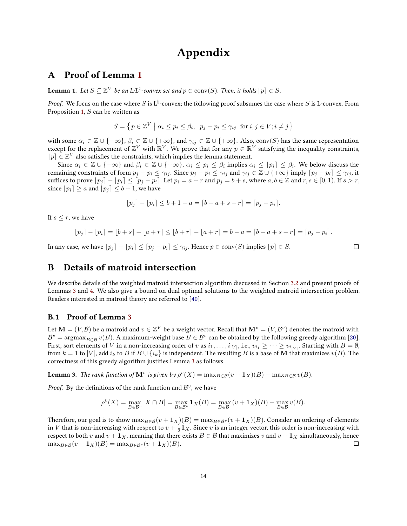## Appendix

### <span id="page-13-0"></span>A Proof of Lemma [1](#page-3-4)

**Lemma 1.** Let  $S \subseteq \mathbb{Z}^V$  be an L/L<sup> $\natural$ </sup>-convex set and  $p \in \text{conv}(S)$ . Then, it holds  $\lfloor p \rfloor \in S$ .

*Proof.* We focus on the case where S is  $L^{\natural}$ -convex; the following proof subsumes the case where S is L-convex. From Proposition [1,](#page-3-5)  $S$  can be written as

$$
S = \left\{ \left. p \in \mathbb{Z}^V \; \right| \, \alpha_i \le p_i \le \beta_i, \, p_j - p_i \le \gamma_{ij} \; \text{ for } i, j \in V; i \ne j \right. \right\}
$$

with some  $\alpha_i \in \mathbb{Z} \cup \{-\infty\}, \beta_i \in \mathbb{Z} \cup \{+\infty\},\$ and  $\gamma_{ij} \in \mathbb{Z} \cup \{+\infty\}.$  Also,  $\text{conv}(S)$  has the same representation except for the replacement of  $\mathbb{Z}^V$  with  $\mathbb{R}^V$ . We prove that for any  $p \in \mathbb{R}^V$  satisfying the inequality constraints,  $[p] \in \mathbb{Z}^V$  also satisfies the constraints, which implies the lemma statement.

Since  $\alpha_i\in\mathbb{Z}\cup\{-\infty\}$  and  $\beta_i\in\mathbb{Z}\cup\{+\infty\}$ ,  $\alpha_i\leq p_i\leq\beta_i$  implies  $\alpha_i\leq\lfloor p_i\rceil\leq\beta_i$ . We below discuss the remaining constraints of form  $p_j - p_i \leq \gamma_{ij}$ . Since  $p_j - p_i \leq \gamma_{ij}$  and  $\gamma_{ij} \in \mathbb{Z} \cup \{+\infty\}$  imply  $[p_j - p_i] \leq \gamma_{ij}$ , it suffices to prove  $[p_j] - [p_i] \leq [p_j - p_i]$ . Let  $p_i = a + r$  and  $p_j = b + s$ , where  $a, b \in \mathbb{Z}$  and  $r, s \in [0, 1)$ . If  $s > r$ , since  $|p_i| \ge a$  and  $|p_j| \le b + 1$ , we have

$$
|p_j| - |p_i| \le b + 1 - a = \lfloor b - a + s - r \rfloor = \lfloor p_j - p_i \rfloor.
$$

If  $s \leq r$ , we have

$$
\lfloor p_j \rceil - \lfloor p_i \rceil = \lfloor b + s \rceil - \lfloor a + r \rceil \le \lfloor b + r \rceil - \lfloor a + r \rceil = b - a = \lceil b - a + s - r \rceil = \lceil p_j - p_i \rceil.
$$

 $\Box$ 

In any case, we have  $|p_i| - |p_i| \leq [p_i - p_i] \leq \gamma_{ij}$ . Hence  $p \in \text{conv}(S)$  implies  $|p| \in S$ .

## B Details of matroid intersection

We describe details of the weighted matroid intersection algorithm discussed in Section [3.2](#page-6-5) and present proofs of Lemmas [3](#page-6-2) and [4.](#page-6-6) We also give a bound on dual optimal solutions to the weighted matroid intersection problem. Readers interested in matroid theory are referred to [\[40\]](#page-11-19).

#### <span id="page-13-1"></span>B.1 Proof of Lemma [3](#page-6-2)

Let  $\mathbf{M}=(V,\mathcal{B})$  be a matroid and  $v\in\mathbb{Z}^V$  be a weight vector. Recall that  $\mathbf{M}^v=(V,\mathcal{B}^v)$  denotes the matroid with  $\mathcal{B}^v = \arg\!\max_{B\in\mathcal{B}} v(B)$ . A maximum-weight base  $B\in\mathcal{B}^v$  can be obtained by the following greedy algorithm [\[20\]](#page-10-11). First, sort elements of  $V$  in a non-increasing order of  $v$  as  $i_1,\ldots,i_{|V|},$  i.e.,  $v_{i_1}\geq\cdots\geq v_{i_{|V|}}.$  Starting with  $B=\emptyset,$ from  $k = 1$  to |V|, add  $i_k$  to B if  $B \cup \{i_k\}$  is independent. The resulting B is a base of M that maximizes  $v(B)$ . The correctness of this greedy algorithm justifies Lemma [3](#page-6-2) as follows.

**Lemma 3.** The rank function of  $\mathbf{M}^v$  is given by  $\rho^v(X) = \max_{B \in \mathcal{B}} (v + \mathbf{1}_X)(B) - \max_{B \in \mathcal{B}} v(B)$ .

*Proof.* By the definitions of the rank function and  $\mathcal{B}^v$ , we have

$$
\rho^v(X) = \max_{B \in \mathcal{B}^v} |X \cap B| = \max_{B \in \mathcal{B}^v} \mathbf{1}_X(B) = \max_{B \in \mathcal{B}^v} (v + \mathbf{1}_X)(B) - \max_{B \in \mathcal{B}} v(B).
$$

Therefore, our goal is to show  $\max_{B \in \mathcal{B}} (v + 1_X)(B) = \max_{B \in \mathcal{B}^v} (v + 1_X)(B)$ . Consider an ordering of elements in  $V$  that is non-increasing with respect to  $v+\frac{1}{2}\mathbf{1}_X.$  Since  $v$  is an integer vector, this order is non-increasing with respect to both v and  $v + \mathbf{1}_X$ , meaning that there exists  $B \in \mathcal{B}$  that maximizes v and  $v + \mathbf{1}_X$  simultaneously, hence  $\max_{B \in \mathcal{B}} (v + \mathbf{1}_X)(B) = \max_{B \in \mathcal{B}^v} (v + \mathbf{1}_X)(B).$  $\Box$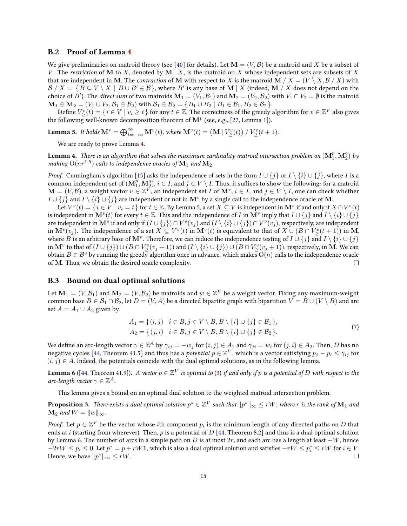#### <span id="page-14-0"></span>B.2 Proof of Lemma [4](#page-6-6)

We give preliminaries on matroid theory (see [\[40\]](#page-11-19) for details). Let  $\mathbf{M} = (V, \mathcal{B})$  be a matroid and X be a subset of V. The restriction of M to X, denoted by M | X, is the matroid on X whose independent sets are subsets of X that are independent in M. The *contraction* of M with respect to X is the matroid M  $/X = (V \setminus X, \mathcal{B} / X)$  with  $B / X = \{B \subseteq V \setminus X \mid B \cup B' \in \mathcal{B}\}$ , where  $B'$  is any base of  $\mathbf{M} | X$  (indeed,  $\mathbf{M} / X$  does not depend on the choice of  $B'$ ). The *direct sum* of two matroids  $\mathbf{M}_1=(V_1,\mathcal{B}_1)$  and  $\mathbf{M}_2=(V_2,\mathcal{B}_2)$  with  $V_1\cap V_2=\emptyset$  is the matroid  $\mathbf{M}_1 \oplus \mathbf{M}_2 = (V_1 \cup V_2, \mathcal{B}_1 \oplus \mathcal{B}_2)$  with  $\mathcal{B}_1 \oplus \mathcal{B}_2 = \{B_1 \cup B_2 \mid B_1 \in \mathcal{B}_1, B_2 \in \mathcal{B}_2\}.$ 

Define  $V^v_\geq(t)=\set{i\in V|v_i\geq t}$  for any  $t\in\mathbb{Z}$ . The correctness of the greedy algorithm for  $v\in\mathbb{Z}^V$  also gives the following well-known decomposition theorem of  $\mathbf{M}^{v}$  (see, e.g., [\[27,](#page-11-7) Lemma 1]).

<span id="page-14-2"></span>**Lemma 5.** It holds  $\mathbf{M}^v = \bigoplus_{t=-\infty}^{\infty} \mathbf{M}^v(t)$ , where  $\mathbf{M}^v(t) = (\mathbf{M} | V^v_{\ge}(t)) | V^v_{\ge}(t+1)$ .

We are ready to prove Lemma [4.](#page-6-6)

**Lemma 4.** There is an algorithm that solves the maximum cardinality matroid intersection problem on  $(\mathbf{M}^p_1,\mathbf{M}^q_2)$  by making  $\mathrm{O}(nr^{1.5})$  calls to independence oracles of  $\mathbf{M}_1$  and  $\mathbf{M}_2.$ 

*Proof.* Cunningham's algorithm [\[15\]](#page-10-6) asks the independence of sets in the form  $I \cup \{j\}$  or  $I \setminus \{i\} \cup \{j\}$ , where I is a common independent set of  $(M_1^p, M_2^q), i \in I$ , and  $j \in V \setminus I$ . Thus, it suffices to show the following: for a matroid  $\mathbf{M}=(V,\mathcal{B}),$  a weight vector  $v\in\mathbb{Z}^{\bar{V}}$ , an independent set  $I$  of  $\mathbf{M}^v,$   $i\in I,$  and  $j\in V\setminus I,$  one can check whether  $I \cup \{j\}$  and  $I \setminus \{i\} \cup \{j\}$  are independent or not in  $\mathbf{M}^v$  by a single call to the independence oracle of M.

Let  $V^v(t) = \{i \in V \mid v_i = t\}$  for  $t \in \mathbb{Z}$ . By Lemma [5,](#page-14-2) a set  $X \subseteq V$  is independent in  $\mathbf{M}^v$  if and only if  $X \cap V^v(t)$ is independent in  $\mathbf{M}^v(t)$  for every  $t\in\mathbb{Z}$ . This and the independence of  $I$  in  $\mathbf{M}^v$  imply that  $I\cup\{j\}$  and  $I\setminus\{i\}\cup\{j\}$ are independent in  $\mathbf{M}^v$  if and only if  $(I\cup\{j\})\cap V^v(v_j)$  and  $(I\setminus\{i\}\cup\{j\})\cap V^v(v_j)$ , respectively, are independent in  $\mathbf{M}^v(v_j)$ . The independence of a set  $X\subseteq V^v(t)$  in  $\mathbf{M}^v(t)$  is equivalent to that of  $X\cup (B\cap V^v_\ge (t+1))$  in  $\mathbf{M}$ , where  $B$  is an arbitrary base of  $\mathbf{M}^v$ . Therefore, we can reduce the independence testing of  $I\cup\{j\}$  and  $I\setminus\{i\}\cup\{j\}$ in  $\mathbf{M}^v$  to that of  $(I\cup\{j\})\cup(B\cap V^v_\ge(v_j+1))$  and  $(I\setminus\{i\}\cup\{j\})\cup(B\cap V^v_\ge(v_j+1))$ , respectively, in  $\mathbf{M}$ . We can obtain  $B \in \mathcal{B}^v$  by running the greedy algorithm once in advance, which makes  $O(n)$  calls to the independence oracle of M. Thus, we obtain the desired oracle complexity.  $\Box$ 

#### <span id="page-14-1"></span>B.3 Bound on dual optimal solutions

Let  $\mathbf{M}_1=(V,\mathcal{B}_1)$  and  $\mathbf{M}_2=(V,\mathcal{B}_2)$  be matroids and  $w\in\mathbb{Z}^V$  be a weight vector. Fixing any maximum-weight common base  $B \in \mathcal{B}_1 \cap \mathcal{B}_2$ , let  $D = (V, A)$  be a directed bipartite graph with bipartition  $V = B \cup (V \setminus B)$  and arc set  $A = A_1 \cup A_2$  given by

<span id="page-14-5"></span>
$$
A_1 = \{ (i,j) \mid i \in B, j \in V \setminus B, B \setminus \{i\} \cup \{j\} \in B_1 \},
$$
  
\n
$$
A_2 = \{ (j,i) \mid i \in B, j \in V \setminus B, B \setminus \{i\} \cup \{j\} \in B_2 \}.
$$
\n(7)

We define an arc-length vector  $\gamma\in\mathbb{Z}^A$  by  $\gamma_{ij}=-w_j$  for  $(i,j)\in A_1$  and  $\gamma_{ji}=w_i$  for  $(j,i)\in A_2.$  Then,  $D$  has no negative cycles [\[44,](#page-12-5) Theorem 41.5] and thus has a *potential*  $p\in\mathbb{Z}^V$ , which is a vector satisfying  $p_j-p_i\leq\gamma_{ij}$  for  $(i, j) \in A$ . Indeed, the potentials coincide with the dual optimal solutions, as in the following lemma.

<span id="page-14-3"></span>**Lemma 6** ([\[44,](#page-12-5) Theorem 41.9]). A vector  $p\in\mathbb{Z}^V$  is optimal to [\(3\)](#page-6-0) if and only if  $p$  is a potential of  $D$  with respect to the arc-length vector  $\gamma \in \mathbb{Z}^A$ .

This lemma gives a bound on an optimal dual solution to the weighted matroid intersection problem.

<span id="page-14-4"></span>**Proposition 3.** There exists a dual optimal solution  $p^*\in\mathbb{Z}^V$  such that  $\|p^*\|_\infty\le rW$ , where  $r$  is the rank of  $\mathbf{M}_1$  and  $\mathbf{M}_2$  and  $W = ||w||_{\infty}$ .

*Proof.* Let  $p \in \mathbb{Z}^V$  be the vector whose  $i$ th component  $p_i$  is the minimum length of any directed paths on  $D$  that ends at i (starting from wherever). Then, p is a potential of  $D$  [\[44,](#page-12-5) Theorem 8.2] and thus is a dual optimal solution by Lemma [6.](#page-14-3) The number of arcs in a simple path on D is at most  $2r$ , and each arc has a length at least  $-W$ , hence  $-2rW \le p_i \le 0$ . Let  $p^* = p + rW$ 1, which is also a dual optimal solution and satisfies  $-rW \le p_i^* \le rW$  for  $i \in V$ . Hence, we have  $||p^*||_{\infty} \leq rW$ .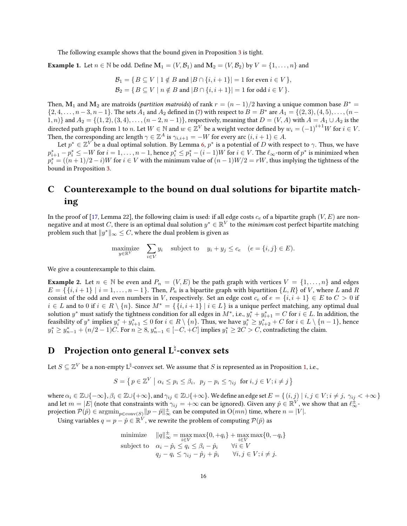The following example shows that the bound given in Proposition [3](#page-14-4) is tight.

**Example 1.** Let  $n \in \mathbb{N}$  be odd. Define  $\mathbf{M}_1 = (V, \mathcal{B}_1)$  and  $\mathbf{M}_2 = (V, \mathcal{B}_2)$  by  $V = \{1, \dots, n\}$  and

$$
\mathcal{B}_1 = \{ B \subseteq V \mid 1 \notin B \text{ and } |B \cap \{i, i+1\}| = 1 \text{ for even } i \in V \},
$$
  

$$
\mathcal{B}_2 = \{ B \subseteq V \mid n \notin B \text{ and } |B \cap \{i, i+1\}| = 1 \text{ for odd } i \in V \}.
$$

Then,  $M_1$  and  $M_2$  are matroids (*partition matroids*) of rank  $r = (n-1)/2$  having a unique common base  $B^* =$  $\{2, 4, \ldots, n-3, n-1\}$ . The sets  $A_1$  and  $A_2$  defined in [\(7\)](#page-14-5) with respect to  $B = B^*$  are  $A_1 = \{(2, 3), (4, 5), \ldots, (n-1)\}$ 1, n)} and  $A_2 = \{(1, 2), (3, 4), \ldots, (n-2, n-1)\}$ , respectively, meaning that  $D = (V, A)$  with  $A = A_1 \cup A_2$  is the directed path graph from  $1$  to  $n.$  Let  $W\in\mathbb{N}$  and  $w\in\mathbb{Z}^V$  be a weight vector defined by  $w_i=\left(-1\right)^{i+1}W$  for  $i\in V.$ Then, the corresponding arc length  $\gamma \in \mathbb{Z}^A$  is  $\gamma_{i,i+1} = -W$  for every arc  $(i, i + 1) \in A$ .

Let  $p^*\in\mathbb{Z}^{V}$  be a dual optimal solution. By Lemma [6,](#page-14-3)  $p^*$  is a potential of  $D$  with respect to  $\gamma.$  Thus, we have  $p_{i+1}^* - p_i^* \le -W$  for  $i = 1, \ldots, n-1$ , hence  $p_i^* \le p_1^* - (i-1)W$  for  $i \in V$ . The  $\ell_{\infty}$ -norm of  $p^*$  is minimized when  $p_i^* = ((n+1)/2 - i)W$  for  $i \in V$  with the minimum value of  $(n-1)W/2 = rW$ , thus implying the tightness of the bound in Proposition [3.](#page-14-4)

## <span id="page-15-1"></span>C Counterexample to the bound on dual solutions for bipartite matching

In the proof of [\[17,](#page-10-3) Lemma 22], the following claim is used: if all edge costs  $c_e$  of a bipartite graph  $(V, E)$  are nonnegative and at most C, there is an optimal dual solution  $y^* \in \mathbb{R}^V$  to the minimum cost perfect bipartite matching problem such that  $\|y^*\|_\infty \leq C$ , where the dual problem is given as

$$
\underset{y \in \mathbb{R}^V}{\text{maximize}} \quad \sum_{i \in V} y_i \quad \text{subject to} \quad y_i + y_j \le c_e \quad (e = \{i, j\} \in E).
$$

We give a counterexample to this claim.

**Example 2.** Let  $n \in \mathbb{N}$  be even and  $P_n = (V, E)$  be the path graph with vertices  $V = \{1, \ldots, n\}$  and edges  $E = \{ \{i, i+1\} \mid i = 1, \ldots, n-1 \}.$  Then,  $P_n$  is a bipartite graph with bipartition  $\{L, R\}$  of V, where L and R consist of the odd and even numbers in V, respectively. Set an edge cost  $c_e$  of  $e = \{i, i + 1\} \in E$  to  $C > 0$  if  $i \in L$  and to 0 if  $i \in R \setminus \{n\}$ . Since  $M^* = \{ \{i, i + 1\} \mid i \in L \}$  is a unique perfect matching, any optimal dual solution  $y^*$  must satisfy the tightness condition for all edges in  $M^*$ , i.e.,  $y_i^* + y_{i+1}^* = C$  for  $i \in L$ . In addition, the feasibility of  $y^*$  implies  $y_i^* + y_{i+1}^* \leq 0$  for  $i \in R \setminus \{n\}$ . Thus, we have  $y_i^* \geq y_{i+2}^* + C$  for  $i \in L \setminus \{n-1\}$ , hence  $y_1^* \ge y_{n-1}^* + (n/2 - 1)C$ . For  $n \ge 8$ ,  $y_{n-1}^* \in [-C, +C]$  implies  $y_1^* \ge 2C > C$ , contradicting the claim.

## <span id="page-15-0"></span>**D** Projection onto general  $\mathrm{L}^\natural$ -convex sets

Let  $S \subseteq \mathbb{Z}^V$  be a non-empty  $\texttt{L}^\natural$ -convex set. We assume that  $S$  is represented as in Proposition [1,](#page-3-5) i.e.,

$$
S = \left\{ p \in \mathbb{Z}^V \mid \alpha_i \le p_i \le \beta_i, \ p_j - p_i \le \gamma_{ij} \ \text{ for } i, j \in V; i \ne j \right\}
$$

where  $\alpha_i \in \mathbb{Z} \cup \{-\infty\}$ ,  $\beta_i \in \mathbb{Z} \cup \{+\infty\}$ , and  $\gamma_{ij} \in \mathbb{Z} \cup \{+\infty\}$ . We define an edge set  $E = \{(i, j) | i, j \in V; i \neq j, \gamma_{ij} < +\infty\}$ and let  $m=|E|$  (note that constraints with  $\gamma_{ij}=+\infty$  can be ignored). Given any  $\hat{p} \in \mathbb{R}^V$ , we show that an  $\ell_{\infty}^{\pm}$ projection  $\mathcal{P}(\hat{p}) \in \mathop{\rm argmin}_{p \in \mathop{\rm conv}(S)} \| p - \hat{p} \|_\infty^{\pm}$  can be computed in  $\mathrm{O}(mn)$  time, where  $n = |V|.$ 

Using variables  $q = p - \hat{p} \in \mathbb{R}^{\hat{V}}$ , we rewrite the problem of computing  $\mathcal{P}(\hat{p})$  as

minimize 
$$
||q||_{\infty}^{\pm} = \max_{i \in V} \max\{0, +q_i\} + \max_{i \in V} \max\{0, -q_i\}
$$
  
subject to  $\alpha_i - \hat{p}_i \leq q_i \leq \beta_i - \hat{p}_i \quad \forall i \in V$   
 $q_j - q_i \leq \gamma_{ij} - \hat{p}_j + \hat{p}_i \quad \forall i, j \in V; i \neq j.$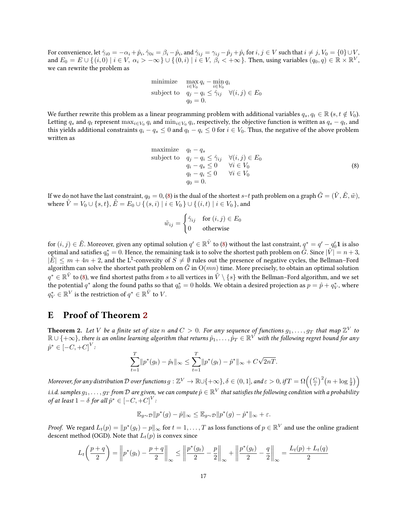For convenience, let  $\hat\gamma_{i0}=-\alpha_i+\hat p_i$ ,  $\hat\gamma_{0i}=\beta_i-\hat p_i$ , and  $\hat\gamma_{ij}=\gamma_{ij}-\hat p_j+\hat p_i$  for  $i,j\in V$  such that  $i\neq j, V_0=\{0\}\cup V,$ and  $E_0 = E \cup \{(i,0) \mid i \in V, \ \alpha_i > -\infty\} \cup \{(0,i) \mid i \in V, \ \beta_i < +\infty\}$ . Then, using variables  $(q_0,q) \in \mathbb{R} \times \mathbb{R}^V$ , we can rewrite the problem as

minimize 
$$
\max_{i \in V_0} q_i - \min_{i \in V_0} q_i
$$
  
subject to 
$$
q_j - q_i \leq \hat{\gamma}_{ij} \quad \forall (i, j) \in E_0
$$

$$
q_0 = 0.
$$

We further rewrite this problem as a linear programming problem with additional variables  $q_s, q_t \in \mathbb{R}$  (s,  $t \notin V_0$ ). Letting  $q_s$  and  $q_t$  represent  $\max_{i\in V_0}q_i$  and  $\min_{i\in V_0}q_i$ , respectively, the objective function is written as  $q_s-q_t$ , and this yields additional constraints  $q_i - q_s \leq 0$  and  $q_t - q_i \leq 0$  for  $i \in V_0$ . Thus, the negative of the above problem written as

maximize 
$$
q_t - q_s
$$
  
\nsubject to  $q_j - q_i \leq \hat{\gamma}_{ij} \quad \forall (i, j) \in E_0$   
\n $q_i - q_s \leq 0 \quad \forall i \in V_0$   
\n $q_t - q_i \leq 0 \quad \forall i \in V_0$   
\n $q_0 = 0.$  (8)

If we do not have the last constraint,  $q_0 = 0$ , [\(8\)](#page-16-1) is the dual of the shortest s-t path problem on a graph  $\tilde{G} = (\tilde{V}, \tilde{E}, \tilde{w})$ , where  $\tilde{V} = V_0 \cup \{s, t\}, \tilde{E} = E_0 \cup \{(s, i) | i \in V_0\} \cup \{(i, t) | i \in V_0\}$ , and

<span id="page-16-1"></span>
$$
\tilde{w}_{ij} = \begin{cases} \hat{\gamma}_{ij} & \text{for } (i,j) \in E_0 \\ 0 & \text{otherwise} \end{cases}
$$

for  $(i,j)\in \tilde E.$  Moreover, given any optimal solution  $q'\in\mathbb R^{\tilde V}$  to [\(8\)](#page-16-1) without the last constraint,  $q^*=q'-q'_0\mathbf 1$  is also optimal and satisfies  $q_0^*=0.$  Hence, the remaining task is to solve the shortest path problem on  $\tilde{G}.$  Since  $|\tilde{V}|=n+3,$  $|\tilde{E}| \leq m + 4n + 2$ , and the L<sup> $\sharp$ </sup>-convexity of  $S \neq \emptyset$  rules out the presence of negative cycles, the Bellman–Ford algorithm can solve the shortest path problem on G in  $O(mn)$  time. More precisely, to obtain an optimal solution  $q^*\in\mathbb{R}^{\tilde{V}}$  to [\(8\)](#page-16-1), we find shortest paths from  $s$  to all vertices in  $\tilde{V}\setminus\{s\}$  with the Bellman–Ford algorithm, and we set the potential  $q^*$  along the found paths so that  $q_0^* = 0$  holds. We obtain a desired projection as  $p = \hat{p} + q_V^*$ , where  $q_V^*\in \mathbb{R}^V$  is the restriction of  $q^*\in \mathbb{R}^{\tilde{V}}$  to  $V.$ 

### <span id="page-16-0"></span>E Proof of Theorem [2](#page-8-1)

**Theorem 2.** Let V be a finite set of size n and  $C > 0$ . For any sequence of functions  $g_1, \ldots, g_T$  that map  $\mathbb{Z}^V$  to  $\R\cup\{+\infty\}$ , there is an online learning algorithm that returns  $\hat p_1,\dots,\hat p_T\in\R^{V}$  with the following regret bound for any  $\hat{p}^* \in [-C, +C]^V$ 

$$
\sum_{t=1}^T \|p^*(g_t) - \hat{p}_t\|_{\infty} \le \sum_{t=1}^T \|p^*(g_t) - \hat{p}^*\|_{\infty} + C\sqrt{2nT}.
$$

Moreover, for any distribution  $\mathcal D$  over functions  $g:\mathbb Z^V\to\mathbb R\cup\{+\infty\}$ ,  $\delta\in(0,1]$ , and  $\varepsilon>0$ , if  $T=\Omega\Big(\big(\frac{C}{\varepsilon}\big)^2\big(n+\log\frac{1}{\delta}\big)\Big)$ i.i.d. samples  $g_1,\ldots,g_T$  from  ${\cal D}$  are given, we can compute  $\hat p\in\mathbb{R}^V$  that satisfies the following condition with a probability of at least  $1-\delta$  for all  $\hat{p}^* \in [-C,+C]^V$  :

$$
\mathbb{E}_{g\sim\mathcal{D}}\|p^*(g)-\hat{p}\|_{\infty}\leq \mathbb{E}_{g\sim\mathcal{D}}\|p^*(g)-\hat{p}^*\|_{\infty}+\varepsilon.
$$

*Proof.* We regard  $L_t(p) = \|p^*(g_t) - p\|_{\infty}$  for  $t = 1, \ldots, T$  as loss functions of  $p \in \mathbb{R}^V$  and use the online gradient descent method (OGD). Note that  $L_t(p)$  is convex since

$$
L_t\left(\frac{p+q}{2}\right) = \left\| p^*(g_t) - \frac{p+q}{2} \right\|_{\infty} \le \left\| \frac{p^*(g_t)}{2} - \frac{p}{2} \right\|_{\infty} + \left\| \frac{p^*(g_t)}{2} - \frac{q}{2} \right\|_{\infty} = \frac{L_t(p) + L_t(q)}{2}
$$